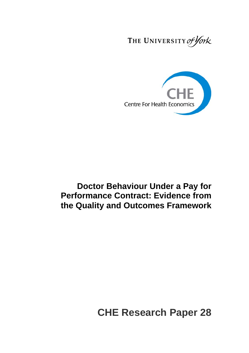THE UNIVERSITY of York



## **Doctor Behaviour Under a Pay for Performance Contract: Evidence from the Quality and Outcomes Framework**

# **CHE Research Paper 28**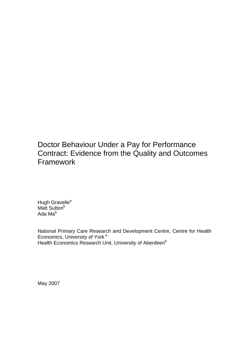Doctor Behaviour Under a Pay for Performance Contract: Evidence from the Quality and Outcomes **Framework** 

Hugh Gravelle<sup>a</sup> Matt Sutton<sup>b</sup> Ada Mab

National Primary Care Research and Development Centre, Centre for Health Economics, University of York<sup>a</sup> Health Economics Research Unit, University of Aberdeen<sup>b</sup>

May 2007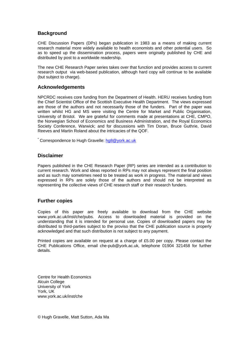## **Background**

CHE Discussion Papers (DPs) began publication in 1983 as a means of making current research material more widely available to health economists and other potential users. So as to speed up the dissemination process, papers were originally published by CHE and distributed by post to a worldwide readership.

The new CHE Research Paper series takes over that function and provides access to current research output via web-based publication, although hard copy will continue to be available (but subject to charge).

## **Acknowledgements**

NPCRDC receives core funding from the Department of Health. HERU receives funding from the Chief Scientist Office of the Scottish Executive Health Department. The views expressed are those of the authors and not necessarily those of the funders. Part of the paper was written whilst HG and MS were visiting the Centre for Market and Public Organisation, University of Bristol. We are grateful for comments made at presentations at CHE, CMPO, the Norwegian School of Economics and Business Administration, and the Royal Economics Society Conference, Warwick; and for discussions with Tim Doran, Bruce Guthrie, David Reeves and Martin Roland about the intricacies of the QOF.

\* Correspondence to Hugh Gravelle: hg8@york.ac.uk

## **Disclaimer**

Papers published in the CHE Research Paper (RP) series are intended as a contribution to current research. Work and ideas reported in RPs may not always represent the final position and as such may sometimes need to be treated as work in progress. The material and views expressed in RPs are solely those of the authors and should not be interpreted as representing the collective views of CHE research staff or their research funders.

## **Further copies**

Copies of this paper are freely available to download from the CHE website www.york.ac.uk/inst/che/pubs. Access to downloaded material is provided on the understanding that it is intended for personal use. Copies of downloaded papers may be distributed to third-parties subject to the proviso that the CHE publication source is properly acknowledged and that such distribution is not subject to any payment.

Printed copies are available on request at a charge of £5.00 per copy. Please contact the CHE Publications Office, email che-pub@york.ac.uk, telephone 01904 321458 for further details.

Centre for Health Economics Alcuin College University of York York, UK www.york.ac.uk/inst/che

© Hugh Gravelle, Matt Sutton, Ada Ma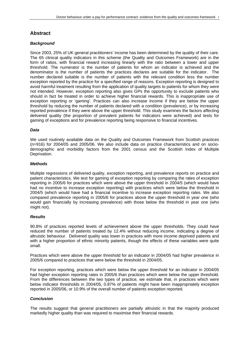## **Abstract**

## *Background*

Since 2003, 25% of UK general practitioners' income has been determined by the quality of their care. The 65 clinical quality indicators in this scheme (the Quality and Outcomes Framework) are in the form of ratios, with financial reward increasing linearly with the ratio between a lower and upper threshold. The numerator is the number of patients for whom an indicator is achieved and the denominator is the number of patients the practices declares are suitable for the indicator. The number declared suitable is the number of patients with the relevant condition less the number exception reported by the practice for a specified range of reasons. Exception reporting is designed to avoid harmful treatment resulting from the application of quality targets to patients for whom they were not intended. However, exception reporting also gives GPs the opportunity to exclude patients who should in fact be treated in order to achieve higher financial rewards. This is inappropriate use of exception reporting or 'gaming'. Practices can also increase income if they are below the upper threshold by reducing the number of patients declared with a condition (prevalence), or by increasing reported prevalence if they were above the upper threshold. This study examines the factors affecting delivered quality (the proportion of prevalent patients for indicators were achieved) and tests for gaming of exceptions and for prevalence reporting being responsive to financial incentives.

## *Data*

We used routinely available data on the Quality and Outcomes Framework from Scottish practices (n=916) for 2004/05 and 2005/06. We also include data on practice characteristics and on sociodemographic and morbidity factors from the 2001 census and the Scottish Index of Multiple Deprivation.

#### *Methods*

Multiple regressions of delivered quality, exception reporting, and prevalence reports on practice and patient characteristics. We test for gaming of exception reporting by comparing the rates of exception reporting in 2005/6 for practices which were above the upper threshold in 2004/5 (which would have had no incentive to increase exception reporting) with practices which were below the threshold in 2004/5 (which would have had a financial incentive to increase exception reporting rates. We also compared prevalence reporting in 2005/6 for practices above the upper threshold in year one (who would gain financially by increasing prevalence) with those below the threshold in year one (who might not).

## *Results*

90.8% of practices reported levels of achievement above the upper thresholds. They could have reduced the number of patients treated by 12.4% without reducing income, indicating a degree of altruistic behaviour. Delivered quality was lower in practices with more income deprived patients and with a higher proportion of ethnic minority patients, though the effects of these variables were quite small.

Practices which were above the upper threshold for an indicator in 2004/05 had higher prevalence in 2005/6 compared to practices that were below the threshold in 2004/05.

For exception reporting, practices which were below the upper threshold for an indicator in 2004/05 had higher exception reporting rates in 2005/6 than practices which were below the upper threshold. From the differences between the two types of practice, we estimate that, in practices which were below indicator thresholds in 2004/05, 0.87% of patients might have been inappropriately exception reported in 2005/06, or 10.9% of the overall number of patients exception reported.

## *Conclusion*

The results suggest that general practitioners are partially altruistic in that the majority produced markedly higher quality than was required to maximise their financial rewards.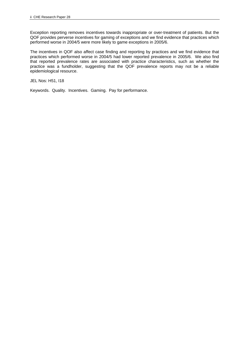Exception reporting removes incentives towards inappropriate or over-treatment of patients. But the QOF provides perverse incentives for gaming of exceptions and we find evidence that practices which performed worse in 2004/5 were more likely to game exceptions in 2005/6.

The incentives in QOF also affect case finding and reporting by practices and we find evidence that practices which performed worse in 2004/5 had lower reported prevalence in 2005/6. We also find that reported prevalence rates are associated with practice characteristics, such as whether the practice was a fundholder, suggesting that the QOF prevalence reports may not be a reliable epidemiological resource.

JEL Nos: H51, I18

Keywords. Quality. Incentives. Gaming. Pay for performance.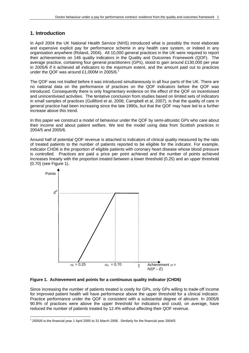## **1. Introduction**

In April 2004 the UK National Health Service (NHS) introduced what is possibly the most elaborate and expensive explicit pay for performance scheme in any health care system, or indeed in any organisation anywhere (Roland, 2004). All 10,000 general practices in the UK were required to report their achievements on 146 quality indicators in the Quality and Outcomes Framework (QOF). The average practice, containing four general practitioners (GPs), stood to gain around £130,000 per year in 2005/6 if it achieved all indicators to the maximum extent, and the amount paid out to practices under the QOF was around £1,000M in 2005/6.<sup>1</sup>

The QOF was not trialled before it was introduced simultaneously in all four parts of the UK. There are no national data on the performance of practices on the QOF indicators before the QOF was introduced. Consequently there is only fragmentary evidence on the effect of the QOF on incentivised and unincentivised activities. The tentative conclusion from studies based on limited sets of indicators in small samples of practices (Gulliford et al, 2006; Campbell et al, 2007), is that the quality of care in general practice had been increasing since the late 1990s, but that the QOF may have led to a further increase above this trend.

In this paper we construct a model of behaviour under the QOF by semi-altruistic GPs who care about their income and about patient welfare. We test the model using data from Scottish practices in 2004/5 and 2005/6.

Around half of potential QOF revenue is attached to indicators of clinical quality measured by the ratio of treated patients to the number of patients reported to be eligible for the indicator. For example, indicator CHD6 is the proportion of eligible patients with coronary heart disease whose blood pressure is controlled. Practices are paid a price per point achieved and the number of points achieved increases linearly with the proportion treated between a lower threshold (0.25) and an upper threshold (0.70) (see Figure 1).



**Figure 1. Achievement and points for a continuous quality indicator (CHD6)** 

Since increasing the number of patients treated is costly for GPs, only GPs willing to trade-off income for improved patient health will have performance above the upper threshold for a clinical indicator. Practice performance under the QOF is consistent with a substantial degree of altruism. In 2005/6 90.8% of practices were above the upper threshold for indicators and could, on average, have reduced the number of patients treated by 12.4% without affecting their QOF revenue.

 $\overline{a}$ 1 2005/6 is the financial year 1 April 2005 to 31 March 2006. Similarly for the financial year 2004/5.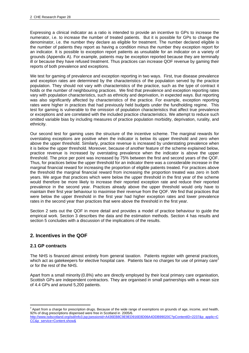Expressing a clinical indicator as a ratio is intended to provide an incentive to GPs to increase the numerator, i.e. to increase the number of treated patients. But it is possible for GPs to change the denominator, i.e. the number they declare as eligible for treatment. The number declared eligible is the number of patients they report as having a condition minus the number they exception report for an indicator. It is possible to exception report patients as unsuitable for an indicator on a variety of grounds (Appendix A). For example, patients may be exception reported because they are terminally ill or because they have refused treatment. Thus practices can increase QOF revenue by gaming their reports of both prevalence and exceptions.

We test for gaming of prevalence and exception reporting in two ways. First, true disease prevalence and exception rates are determined by the characteristics of the population served by the practice population. They should not vary with characteristics of the practice, such as the type of contract it holds or the number of neighbouring practices. We find that prevalence and exception reporting rates vary with population characteristics, such as ethnicity and deprivation, in expected ways. But reporting was also significantly affected by characteristics of the practice. For example, exception reporting rates were higher in practices that had previously held budgets under the fundholding regime. This test for gaming is vulnerable to the omission of population characteristics that affect true prevalence or exceptions and are correlated with the included practice characteristics. We attempt to reduce such omitted variable bias by including measures of practice population morbidity, deprivation, rurality, and ethnicity.

Our second test for gaming uses the structure of the incentive scheme. The marginal rewards for overstating exceptions are positive when the indicator is below its upper threshold and zero when above the upper threshold. Similarly, practice revenue is increased by understating prevalence when it is below the upper threshold. Moreover, because of another feature of the scheme explained below, practice revenue is increased by overstating prevalence when the indicator is above the upper threshold. The price per point was increased by 75% between the first and second years of the QOF. Thus, for practices below the upper threshold for an indicator there was a considerable increase in the marginal financial reward for increasing the proportion of eligible patients treated. For practices above the threshold the marginal financial reward from increasing the proportion treated was zero in both years. We argue that practices which were below the upper threshold in the first year of the scheme would therefore be more likely to increase their reported exception rate and reduce their reported prevalence in the second year. Practices already above the upper threshold would only have to maintain their first year behaviour to maximise their revenue from the QOF. We find that practices that were below the upper threshold in the first year had higher exception rates and lower prevalence rates in the second year than practices that were above the threshold in the first year.

Section 2 sets out the QOF in more detail and provides a model of practice behaviour to guide the empirical work. Section 3 describes the data and the estimation methods. Section 4 has results and section 5 concludes with a discussion of the implications of the results.

## **2. Incentives in the QOF**

## **2.1 GP contracts**

The NHS is financed almost entirely from general taxation. Patients register with general practices, which act as gatekeepers for elective hospital care. Patients face no charges for use of primary care<sup>2</sup> or for the rest of the NHS.

Apart from a small minority (0.8%) who are directly employed by their local primary care organisation, Scottish GPs are independent contractors. They are organised in small partnerships with a mean size of 4.4 GPs and around 5,200 patients.

 $^2$  Apart from a charge for prescription drugs. Because of the wide range of exemptions on grounds of age, income, and health, 92% of drug prescriptions dispensed were free in Scotland in 2005/6.

http://www.isdscotland.org/isd/info3.jsp;jsessionid=A436EB8C9E9ED916E8D06A4DDB99020C?pContentID=2237&p\_applic=C CC&p\_service=Content.show&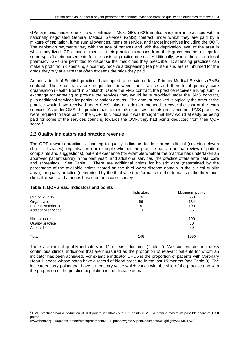GPs are paid under one of two contracts. Most GPs (90% in Scotland) are in practices with a nationally negotiated General Medical Services (GMS) contract under which they are paid by a mixture of capitation, lump sum allowances, items of service, and target incentives including the QOF. The capitation payments vary with the age of patients and with the deprivation level of the area in which they lived. GPs have to meet all their practice expenses from their gross income, except for some specific reimbursements for the costs of practice nurses. Additionally, where there is no local pharmacy, GPs are permitted to dispense the medicines they prescribe. Dispensing practices can make a profit from dispensing since they receive a dispensing fee per item and are reimbursed for the drugs they buy at a rate that often exceeds the price they paid.

Around a tenth of Scottish practices have opted to be paid under a Primary Medical Services (PMS) contract. These contracts are negotiated between the practice and their local primary care organisation (Health Board in Scotland). Under the PMS contract, the practice receives a lump sum in exchange for agreeing to provide the services they would have provided under the GMS contract, plus additional services for particular patient groups. The amount received is typically the amount the practice would have received under GMS, plus an addition intended to cover the cost of the extra services. As under GMS, the practice has to meet its expenses from its gross income. PMS practices were required to take part in the QOF, but, because it was thought that they would already be being paid for some of the services counting towards the QOF, they had points deducted from their QOF score.<sup>3</sup>

## **2.2 Quality indicators and practice revenue**

The QOF rewards practices according to quality indicators for four areas: clinical (covering eleven chronic diseases), organisation (for example whether the practice has an annual review of patient complaints and suggestions), patient experience (for example whether the practice has undertaken an approved patient survey in the past year), and additional services (the practice offers ante natal care and screening). See Table 1. There are additional points for holistic care (determined by the percentage of the available points scored on the third worst disease domain in the clinical quality area), for quality practice (determined by the third worst performance in the domains of the three nonclinical areas), and a bonus based on an access survey.

|                            | <b>Indicators</b> | Maximum points |
|----------------------------|-------------------|----------------|
| Clinical quality           | 76                | 550            |
| Organisation               | 56                | 184            |
| Patient experience         | 4                 | 100            |
| <b>Additional services</b> | 10                | 36             |
|                            |                   |                |
| Holistic care              |                   | 100            |
| Quality practice           |                   | 30             |
| Access bonus               |                   | 50             |
|                            |                   |                |
| Total                      | 146               | 1050           |

#### **Table 1. QOF areas: indicators and points**

There are clinical quality indicators in 11 disease domains (Table 2). We concentrate on the 65 continuous clinical indicators that are measured as the proportion of relevant patients for whom an indicator has been achieved. For example indicator CHD5 is the proportion of patients with Coronary Heart Disease whose notes have a record of blood pressure in the last 15 months (see Table 3). The indicators carry points that have a monetary value which varies with the size of the practice and with the proportion of the practice population in the disease domain.

 $\overline{a}$ <sup>3</sup> PMS practices had a deduction of 168 points in 2004/5 and 109 points in 2005/6 from a maximum possible score of 1050 points

<sup>(</sup>www.bma.org.uk/ap.nsf/Content/pmsagreements0904~pmsnewgms?OpenDocuments&Highlight=2,PMS,QOF)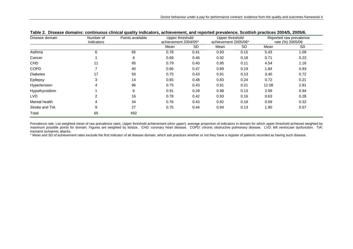| Disease domain  | Number of<br>indicators | Points available | Upper threshold<br>achievement 2004/05* |           | Upper threshold<br>achievement 2005/06* |           | Reported raw prevalence<br>rate (%) 2005/06 |           |
|-----------------|-------------------------|------------------|-----------------------------------------|-----------|-----------------------------------------|-----------|---------------------------------------------|-----------|
|                 |                         |                  | Mean                                    | <b>SD</b> | Mean                                    | <b>SD</b> | Mean                                        | <b>SD</b> |
| Asthma          | 6                       | 65               | 0.78                                    | 0.41      | 0.93                                    | 0.15      | 5.43                                        | 1.09      |
| Cancer          |                         | 6                | 0.69                                    | 0.46      | 0.92                                    | 0.18      | 0.71                                        | 0.23      |
| <b>CHD</b>      | 11                      | 95               | 0.79                                    | 0.40      | 0.95                                    | 0.11      | 4.54                                        | 1.16      |
| <b>COPD</b>     |                         | 40               | 0.66                                    | 0.47      | 0.89                                    | 0.19      | 1.84                                        | 0.93      |
| <b>Diabetes</b> | 17                      | 93               | 0.75                                    | 0.43      | 0.91                                    | 0.13      | 3.40                                        | 0.72      |
| Epilepsy        | 3                       | 14               | 0.65                                    | 0.48      | 0.83                                    | 0.24      | 0.72                                        | 0.21      |
| Hypertension    | 4                       | 96               | 0.75                                    | 0.43      | 0.91                                    | 0.21      | 12.08                                       | 2.81      |
| Hypothyroidism  |                         | 6                | 0.91                                    | 0.28      | 0.98                                    | 0.13      | 2.99                                        | 0.94      |
| LVD             | 2                       | 16               | 0.78                                    | 0.42      | 0.93                                    | 0.16      | 0.63                                        | 0.28      |
| Mental health   | $\overline{4}$          | 34               | 0.76                                    | 0.43      | 0.92                                    | 0.18      | 0.59                                        | 0.32      |
| Stroke and TIA  | 9                       | 27               | 0.75                                    | 0.44      | 0.94                                    | 0.13      | 1.90                                        | 0.57      |
| Total           | 65                      | 492              |                                         |           |                                         |           |                                             |           |

Prevalence rate: List weighted mean of raw prevalence rates. Upper threshold achievement (dom upper): average proportion of indicators in domain for which upper threshold achieved weighted by maximum possible points for domain. Figures are weighted by listsize. CHD: coronary heart disease. COPD: chronic obstructive pulmonary disease. LVD: left ventricular dysfunction. TIA: transient ischaemic attacks.

\* Mean and SD of achievement rates exclude the first indicator of all disease domain, which ask practices whether or not they have a register of patients recorded as having such disease.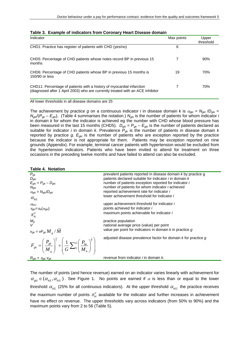| Table 3. Example of indicators from Coronary Heart Disease domain                                                                                       |            |                    |  |  |  |  |  |
|---------------------------------------------------------------------------------------------------------------------------------------------------------|------------|--------------------|--|--|--|--|--|
| Indicator                                                                                                                                               | Max points | Upper<br>threshold |  |  |  |  |  |
| CHD1: Practice has register of patients with CHD (yes/no)                                                                                               | 6          |                    |  |  |  |  |  |
| CHD5: Percentage of CHD patients whose notes record BP in previous 15<br>months                                                                         |            | 90%                |  |  |  |  |  |
| CHD6: Percentage of CHD patients whose BP in previous 15 months is<br>150/90 or less                                                                    | 19         | 70%                |  |  |  |  |  |
| CHD11: Percentage of patients with a history of myocardial infarction<br>(diagnosed after 1 April 2003) who are currently treated with an ACE inhibitor |            | 70%                |  |  |  |  |  |

## **Table 3. Example of indicators from Coronary Heart Disease domain**

All lower thresholds in all disease domains are 25

The achievement by practice *g* on a continuous indicator *i* in disease domain *k* is  $\alpha_{gki} = N_{gki}/D_{gki}$  = *Ngki*/(*Pgk* – *Egki*). (Table 4 summarises the notation.) *Ngki* is the number of patients for whom indicator *i*  in domain *k* for whom the indicator is achieved eg the number with CHD whose blood pressure has been measured in the last 15 months (CHD5).  $D_{gki} = P_{gk} - E_{gki}$  is the number of patients declared as suitable for indicator *i* in domain *k*. Prevalence *Pgk* is the number of patients in disease domain *k*  reported by practice *g*. *Egki* is the number of patients who are exception reported by the practice because the indicator is not appropriate for them. Patients may be exception reported on nine grounds (Appendix). For example, terminal cancer patients with hypertension would be excluded from the hypertension indicators. Patients who have been invited to attend for treatment on three occasions in the preceding twelve months and have failed to attend can also be excluded.

#### **Table 4. Notation**

| $P_{gk}$<br>$D_{gki}$<br>$E_{gki} = P_{gk} - D_{gki}$<br>$N_{\alpha k i}$<br>$\alpha_{gki} = N_{gki}/D_{gki}$                                                                                                                                                                                                                                                   | prevalent patients reported in disease domain k by practice g<br>patients declared suitable for indicator <i>i</i> in domain <i>k</i><br>number of patients exception reported for indicator i<br>number of patients for whom indicator <i>i</i> achieved<br>reported achievement rate for indicator i<br>lower achievement threshold for indicator i |
|-----------------------------------------------------------------------------------------------------------------------------------------------------------------------------------------------------------------------------------------------------------------------------------------------------------------------------------------------------------------|-------------------------------------------------------------------------------------------------------------------------------------------------------------------------------------------------------------------------------------------------------------------------------------------------------------------------------------------------------|
| $\alpha_{\scriptscriptstyle{k\bar{i}L}}$<br>$\alpha_{\rm kill}$<br>$\pi_{gki} = \pi_{ki}(\alpha_{gki})$<br>$\pi_{\scriptscriptstyle{k i}}^{\scriptscriptstyle{o}}$                                                                                                                                                                                              | upper achievement threshold for indicator i<br>points achieved for indicator i<br>maximum points achievable for indicator i                                                                                                                                                                                                                           |
| $M_g$<br>$v_{gk} = vF_{gk} M_{g}/M$                                                                                                                                                                                                                                                                                                                             | practice population<br>national average price (value) per point<br>value per point for indicators in domain $k$ in practice $q$                                                                                                                                                                                                                       |
| $F_{\scriptscriptstyle{gk}}=\hspace{-0.1cm}\left(\frac{P_{\scriptscriptstyle{gk}}}{M_{\scriptscriptstyle{e}}}\right)^{\hspace{-0.15cm}\frac{1}{2}}\div\hspace{-0.15cm}\left(\frac{1}{G}\sum\nolimits_{\scriptscriptstyle{h}}^{G}\hspace{-0.15cm}\left(\frac{P_{\scriptscriptstyle{hk}}}{M_{\scriptscriptstyle{h}}}\right)^{\hspace{-0.15cm}\frac{1}{2}}\right)$ | adjusted disease prevalence factor for domain k for practice g                                                                                                                                                                                                                                                                                        |
| $R_{qki} = \pi_{qki}$ V <sub>gk</sub>                                                                                                                                                                                                                                                                                                                           | revenue from indicator <i>i</i> in domain <i>k</i> .                                                                                                                                                                                                                                                                                                  |

The number of points (and hence revenue) earned on an indicator varies linearly with achievement for  $\alpha_{nk} \in (\alpha_{kH}, \alpha_{kH})$ . See Figure 1. No points are earned if  $\alpha$  is less than or equal to the lower threshold  $\alpha_{kil}$  (25% for all continuous indicators). At the upper threshold  $\alpha_{kil}$  the practice receives the maximum number of points  $\pi_{ki}^o$  available for the indicator and further increases in achievement have no effect on revenue. The upper thresholds vary across indicators (from 50% to 90%) and the maximum points vary from 2 to 56 (Table 5).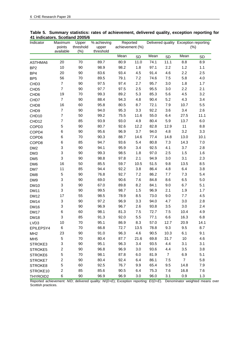| Indicator         | Maximum                 | Upper                | % achieving        | Reported        |           |      |                | Delivered quality Exception reporting |           |
|-------------------|-------------------------|----------------------|--------------------|-----------------|-----------|------|----------------|---------------------------------------|-----------|
|                   | points<br>available     | threshold<br>$(\% )$ | upper<br>threshold | achievement (%) |           |      |                | (% )                                  |           |
|                   |                         |                      |                    | Mean            | <b>SD</b> | Mean | <b>SD</b>      | Mean                                  | <b>SD</b> |
| ASTHMA6           | 20                      | 70                   | 89.7               | 80.9            | 11.0      | 74.1 | 11.1           | 8.8                                   | 8.9       |
| BP <sub>2</sub>   | 10                      | 90                   | 98.9               | 98.2            | 1.8       | 97.1 | 2.2            | 1.2                                   | 1.1       |
| BP4               | 20                      | 90                   | 83.6               | 93.4            | 4.5       | 91.4 | 4.6            | 2.2                                   | 2.5       |
| BP <sub>5</sub>   | 56                      | 70                   | 89.5               | 79.1            | 7.2       | 74.6 | 7.5            | 5.8                                   | 4.0       |
| CHD <sub>3</sub>  | $\overline{7}$          | 90                   | 97.5               | 97.4            | 2.7       | 95.7 | 3.0            | 1.8                                   | 1.7       |
| CHD <sub>5</sub>  | $\overline{7}$          | 90                   | 97.7               | 97.5            | 2.5       | 95.5 | 3.0            | 2.2                                   | 2.1       |
| CHD <sub>6</sub>  | 19                      | 70                   | 99.3               | 89.2            | 5.3       | 85.3 | 5.6            | 4.5                                   | 3.2       |
| CHD7              | $\overline{7}$          | 90                   | 88.4               | 94.3            | 4.8       | 90.4 | 5.2            | 4.3                                   | 3.4       |
| CHD <sub>8</sub>  | 16                      | 60                   | 95.8               | 80.5            | 8.7       | 72.1 | 7.9            | 10.7                                  | 5.5       |
| CHD <sub>9</sub>  | $\overline{7}$          | 90                   | 94.0               | 95.3            | 3.3       | 92.2 | 3.6            | 3.4                                   | 2.6       |
| CHD <sub>10</sub> | $\overline{7}$          | 50                   | 99.2               | 75.5            | 11.6      | 55.0 | 6.4            | 27.5                                  | 11.1      |
| CHD12             | $\overline{7}$          | 85                   | 93.9               | 93.0            | 4.9       | 80.4 | 5.9            | 13.7                                  | 6.0       |
| COPD3             | 5                       | 90                   | 80.7               | 92.6            | 12.2      | 82.8 | 12.9           | 11                                    | 8.8       |
| COPD4             | 6                       | 90                   | 95.6               | 96.9            | 3.7       | 94.0 | 4.8            | 3.2                                   | 3.3       |
| COPD6             | 6                       | 70                   | 90.3               | 88.7            | 14.6      | 77.4 | 14.8           | 13.0                                  | 10.1      |
| COPD8             | 6                       | 85                   | 94.7               | 93.6            | 5.4       | 80.8 | 7.3            | 14.3                                  | 7.0       |
| DM <sub>2</sub>   | 3                       | 90                   | 94.1               | 95.9            | 3.4       | 92.5 | 4.1            | 3.7                                   | 2.8       |
| DM3               | 3                       | 90                   | 99.3               | 98.5            | 1.8       | 97.0 | 2.5            | 1.5                                   | 1.6       |
| DM <sub>5</sub>   | 3                       | 90                   | 98.8               | 97.8            | 2.1       | 94.9 | 3.0            | 3.1                                   | 2.3       |
| DM <sub>6</sub>   | 16                      | 50                   | 85.5               | 59.7            | 10.5      | 51.5 | 9.8            | 13.5                                  | 8.5       |
| DM7               | 11                      | 85                   | 94.4               | 92.2            | 3.8       | 86.4 | 4.8            | 6.4                                   | 3.8       |
| DM8               | 5                       | 90                   | 76.8               | 92.7            | 7.2       | 86.2 | 7.7            | 7.3                                   | 5.4       |
| DM9               | 3                       | 90                   | 69.0               | 90.6            | 7.6       | 84.8 | 8.6            | 6.5                                   | 5.0       |
| <b>DM10</b>       | 3                       | 90                   | 67.0               | 89.8            | 8.2       | 84.1 | 9.0            | 6.7                                   | 5.1       |
| <b>DM11</b>       | 3                       | 90                   | 99.5               | 98.7            | 1.5       | 96.9 | 2.1            | 1.9                                   | 1.7       |
| <b>DM12</b>       | 17                      | 55                   | 98.5               | 78.9            | 8.5       | 73.0 | 9.0            | 7.7                                   | 4.5       |
| <b>DM14</b>       | 3                       | 90                   | 97.2               | 96.9            | 3.3       | 94.0 | 4.7            | 3.0                                   | 2.8       |
| <b>DM16</b>       | 3                       | 90                   | 96.9               | 96.7            | 2.6       | 93.8 | 3.5            | 3.0                                   | 2.4       |
| <b>DM17</b>       | 6                       | 60                   | 98.1               | 81.3            | 7.5       | 72.7 | 7.5            | 10.4                                  | 4.9       |
| <b>DM18</b>       | 3                       | 85                   | 91.3               | 92.0            | 5.5       | 77.1 | 6.6            | 16.3                                  | 6.8       |
| LVD3              | 10                      | 70                   | 95.1               | 86.9            | 8.3       | 57.0 | 12.7           | 20.9                                  | 14.1      |
| EPILEPSY4         | 6                       | 70                   | 66.8               | 72.7            | 13.5      | 78.8 | 9.3            | 9.5                                   | 8.7       |
| MH <sub>2</sub>   | 23                      | 90                   | 91.0               | 96.3            | 4.6       | 90.5 | 10.3           | 6.1                                   | 9.1       |
| MH <sub>5</sub>   | 5                       | 70                   | 80.4               | 87.7            | 21.6      | 69.8 | 31.7           | 10                                    | 4.6       |
| STROKE3           | 3                       | 90                   | 95.1               | 96.3            | 3.4       | 93.5 | 4.4            | 3.1                                   | 3.1       |
| STROKE5           | 2                       | 90                   | 96.8               | 96.9            | 3.0       | 93.6 | 4.4            | 3.5                                   | 3.8       |
| STROKE6           | 5                       | 70                   | 98.1               | 87.8            | 6.0       | 81.9 | $\overline{7}$ | 6.9                                   | 5.1       |
| STROKE7           | $\overline{\mathbf{c}}$ | 90                   | 80.4               | 92.4            | 6.4       | 86.1 | 7.5            | $\overline{7}$                        | 5.8       |
| STROKE8           | 5                       | 60                   | 92.5               | 76.7            | 9.9       | 65.4 | 9.5            | 14.8                                  | 7.9       |
| STROKE10          | 2                       | 85                   | 85.6               | 90.5            | 6.4       | 75.3 | 7.6            | 16.8                                  | 7.6       |
| THYROID2          | 6                       | 90                   | 96.9               | 96.9            | 3.0       | 96.0 | 3.1            | 0.9                                   | 1.3       |

## **Table 5. Summary statistics: rates of achievement, delivered quality, exception reporting for 41 indicators. Scotland 2005/6**

Reported achievement: *N*/*D*; delivered quality: *N*/(*D+E*); Exception reporting: *E*/(*D+E*). Denominator weighted means over Scottish practices.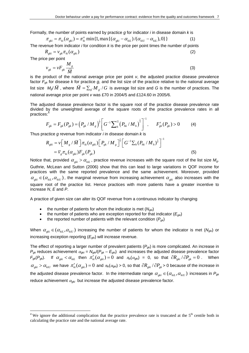Formally, the number of points earned by practice *g* for indicator *i* in disease domain *k* is

$$
\pi_{gki} = \pi_{ki}(\alpha_{gki}) = \pi_{ki}^o \min\{1, \max\{(\alpha_{gki} - \alpha_{kil})/(\alpha_{kil} - \alpha_{kil}), 0\}\}\tag{1}
$$

The revenue from indicator *i* for condition *k* is the price per point times the number of points

$$
R_{gki} = v_{gk} \pi_{ki} (\alpha_{gki})
$$
 (2)

The price per point

 $\overline{a}$ 

$$
v_{gk} = vF_{gk} \frac{M_g}{\overline{M}}
$$
 (3)

is the product of the national average price per point *v*, the adjusted practice disease prevalence factor *Fgk* for disease *k* for practice *g*, and the list size of the practice relative to the national average list size  $M_g/\bar{M}$ , where  $\bar{M} = \sum_{g'} M_{g'} / G$  is average list size and G is the number of practices. The national average price per point *v* was £70 in 2004/5 and £124.60 in 2005/6.

The adjusted disease prevalence factor is the square root of the practice disease prevalence rate divided by the unweighted average of the square roots of the practice prevalence rates in all practices:

$$
F_{gk} = F_{gk}(P_{gk}) = \left(P_{gk} / M_g\right)^{\frac{1}{2}} \left[G^{-1} \sum_{h}^{G} \left(P_{hk} / M_h\right)^{\frac{1}{2}}\right]^{-1}, \qquad F'_{gk}(P_{gk}) > 0 \tag{4}
$$

Thus practice *g* revenue from indicator *i* in disease domain *k* is

$$
R_{gki} = \nu \Big[ M_g / \bar{M} \Big] \pi_{ki} (\alpha_{gki}) \Big[ P_{gk} / M_g \Big]^{\frac{1}{2}} \Big[ G^{-1} \sum_h (P_{hk} / M_h)^{\frac{1}{2}} \Big]^{-1}
$$
  
=  $\overline{\nu}_g \pi_{ki} (\alpha_{gki}) F_{gk} (P_{gk})$  (5)

Notice that, provided  $\alpha_{gki} > \alpha_{kil}$ , practice revenue increases with the square root of the list size  $M_g$ . Guthrie, McLean and Sutton (2006) show that this can lead to large variations in QOF income for practices with the same reported prevalence and the same achievement. Moreover, provided  $\alpha_{gki} \in (\alpha_{kil}, \alpha_{kil})$ , the marginal revenue from increasing achievement  $\alpha_{gki}$  also increases with the square root of the practice list. Hence practices with more patients have a greater incentive to increase *N*, *E* and *P*.

A practice of given size can alter its QOF revenue from a continuous indicator by changing

- the number of patients for whom the indicator is met  $(N_{\alpha k i})$
- the number of patients who are exception reported for that indicator  $(E_{qki})$
- the reported number of patients with the relevant condition  $(P_{gk})$

When  $\alpha_{gki} \in (\alpha_{kil}, \alpha_{kil})$  increasing the number of patients for whom the indicator is met ( $N_{gki}$ ) or increasing exception reporting (*Egki*) will increase revenue.

The effect of reporting a larger number of prevalent patients (*Pgk*) is more complicated. An increase in  $P_{gk}$  reduces achievement  $\alpha_{gki} = N_{gki}/(P_{gk} - E_{gki})$  and increases the adjusted disease prevalence factor  $F_{gk}(P_{gk})$ . If  $\alpha_{gki} < \alpha_{kil}$  then  $\pi'_{ki}(\alpha_{gki}) = 0$  and  $\pi_{ki}(\alpha_{gki}) = 0$ , so that  $\partial R_{gki} / \partial P_{gk} = 0$ . When  $\alpha_{gki} > \alpha_{kil}$  we have  $\pi'_{ki}(\alpha_{gki}) = 0$  and  $\pi_{ki}(\alpha_{gki}) > 0$ , so that  $\partial R_{gki}/\partial P_{gk} > 0$  because of the increase in the adjusted disease prevalence factor. In the intermediate range  $\alpha_{gki} \in (\alpha_{kil}, \alpha_{kil})$  increases in  $P_{gki}$ reduce achievement <sup>α</sup>*gki* but increase the adjusted disease prevalence factor.

<sup>&</sup>lt;sup>4</sup> We ignore the additional complication that the practice prevalence rate is truncated at the  $5<sup>th</sup>$  centile both in calculating the practice rate and the national average rate.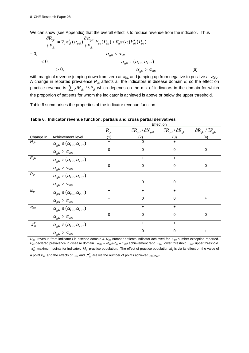We can show (see Appendix) that the overall effect is to reduce revenue from the indicator. Thus

$$
\frac{\partial R_{gki}}{\partial P_{gk}} = \overline{v}_g \pi'_{gk} (\alpha_{gki}) \frac{\partial \alpha_{gki}}{\partial P_{gk}} F_{gk} (P_{gk}) + \overline{v}_g \pi(\alpha) F'_{gk} (P_{gk})
$$
\n
$$
= 0, \qquad \alpha_{gki} < \alpha_{kil}
$$
\n
$$
< 0, \qquad \alpha_{gki} \in (\alpha_{kil}, \alpha_{kil})
$$
\n
$$
> 0, \qquad \alpha_{gki} > \alpha_{kil}
$$
\n(6)

with marginal revenue jumping down from zero at <sup>α</sup>*kiL* and jumping up from negative to positive at <sup>α</sup>*kiU*. A change in reported prevalence *Pgk* affects all the indicators in disease domain *k*, so the effect on practice revenue is  $\sum_i \partial R_{gki} / \partial P_{gk}$  which depends on the mix of indicators in the domain for which the proportion of patients for whom the indicator is achieved is above or below the upper threshold.

Table 6 summarises the properties of the indicator revenue function.

|                                                       |                                                                                                             | Effect on |                                         |                                         |                                         |  |  |
|-------------------------------------------------------|-------------------------------------------------------------------------------------------------------------|-----------|-----------------------------------------|-----------------------------------------|-----------------------------------------|--|--|
|                                                       |                                                                                                             | $R_{gki}$ | $\partial R_{gki}$ / $\partial N_{gki}$ | $\partial R_{gki}$ / $\partial E_{gki}$ | $\partial R_{gki}$ / $\partial P_{gki}$ |  |  |
| Change in                                             | Achievement level                                                                                           | (1)       | (2)                                     | (3)                                     | (4)                                     |  |  |
| $N_{gki}$                                             | $\alpha_{\text{\tiny{gki}}} \in (\alpha_{\text{\tiny{kil}}}, \alpha_{\text{\tiny{kilU}}})$                  | $\ddot{}$ | $\mathbf{0}$                            | $+$                                     |                                         |  |  |
|                                                       | $\alpha_{gki} > \alpha_{kiU}$                                                                               | 0         | $\pmb{0}$                               | $\mathbf 0$                             | 0                                       |  |  |
| $E_{gki}$                                             | $\alpha_{\text{\tiny{gki}}} \in (\alpha_{\text{\tiny{kil}}}, \alpha_{\text{\tiny{kilU}}})$                  | +         | +                                       | $+$                                     |                                         |  |  |
|                                                       | $\alpha_{\text{\tiny{gki}}} > \alpha_{\text{\tiny{kiU}}}$                                                   | $\Omega$  | 0                                       | $\mathbf 0$                             | $\Omega$                                |  |  |
| $P_{gk}$                                              | $\alpha_{\scriptscriptstyle{eki}} \in (\alpha_{\scriptscriptstyle{kil}}, \alpha_{\scriptscriptstyle{kil}})$ |           |                                         |                                         |                                         |  |  |
|                                                       | $\alpha_{gki} > \alpha_{kil}$                                                                               | +         | $\mathbf 0$                             | $\Omega$                                |                                         |  |  |
| $M_{\mathcal{G}}$                                     | $\alpha_{\text{\tiny{gki}}} \in (\alpha_{\text{\tiny{kil}}}, \alpha_{\text{\tiny{kilU}}})$                  | +         | $\ddot{}$                               | $+$                                     |                                         |  |  |
|                                                       | $\alpha_{\scriptscriptstyle{gki}} > \alpha_{\scriptscriptstyle{kil}}$                                       | +         | 0                                       | $\mathbf 0$                             | +                                       |  |  |
| $\alpha_{\mathsf{kiu}}$                               | $\alpha_{\text{\tiny{gki}}} \in (\alpha_{\text{\tiny{kil}}}, \alpha_{\text{\tiny{kilU}}})$                  |           | +                                       | $\ddot{}$                               |                                         |  |  |
|                                                       | $\alpha_{gki} > \alpha_{kiU}$                                                                               | $\Omega$  | $\mathbf 0$                             | $\Omega$                                | $\Omega$                                |  |  |
| $\pi_{\scriptscriptstyle{ki}}^{\scriptscriptstyle o}$ | $\alpha_{\text{\tiny{gki}}} \in (\alpha_{\text{\tiny{kil}}}, \alpha_{\text{\tiny{kilU}}})$                  | $\ddot{}$ | $\ddot{}$                               | $+$                                     |                                         |  |  |
|                                                       | $\alpha_{gki} > \alpha_{kil}$                                                                               | +         | 0                                       | 0                                       | +                                       |  |  |

**Table 6. Indicator revenue function: partials and cross partial derivatives** 

*Rgki* revenue from indicator *i* in disease domain *k*. *Ngki* number patients indicator achieved for. *Egki* number exception reported.  $P_{gk}$  declared prevalence in disease domain.  $\alpha_{gki} = N_{gk}/(P_{gk} - E_{gki})$  achievement ratio.  $\alpha_{kil}$  lower threshold.  $\alpha_{kil}$  upper threshold.  $\pi_{ki}^o$  maximum points for indicator.  $M_g$  practice population. The effect of practice population  $M_g$  is via its effect on the value of a point  $v_{gk}$  and the effects of  $\alpha_{kiu}$  and  $\pi_{ki}^o$  are via the number of points achieved  $\pi_{ki}(\alpha_{gki})$ .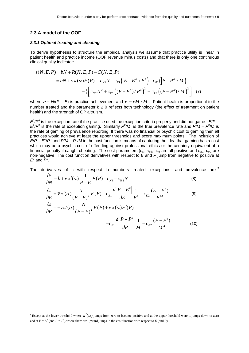## **2.3 A model of the QOF**

 $\overline{a}$ 

#### *2.3.1 Optimal treating and cheating*

To derive hypotheses to structure the empirical analysis we assume that practice utility is linear in patient health and practice income (QOF revenue minus costs) and that there is only one continuous clinical quality indicator:

$$
s(N, E, P) = bN + R(N, E, P) - C(N, E, P)
$$
  
=  $bN + \overline{v}\pi(\alpha)F(P) - c_{N1}N - c_{E1}(|E - E^o|/P^o) - c_{P1}(|P - P^o|/M)$   

$$
- \frac{1}{2}\Big[c_{N2}N^2 + c_{E2}((E - E^o)/P^o)^2 + c_{P2}((P - P^o)/M)^2\Big] (7)
$$

where  $\alpha = N/(P - E)$  is practice achievement and  $\overline{v} = vM/\overline{M}$ . Patient health is proportional to the number treated and the parameter  $b \ge 0$  reflects both technology (the effect of treatment on patient health) and the strength of GP altruism.

 $E^0/P^0$  is the exception rate if the practice used the exception criteria properly and did not game.  $E/P E^0$ / $P^0$  is the rate of exception gaming. Similarly  $P^0$ /*M* is the true prevalence rate and  $P/M - P^0/M$  is the rate of gaming of prevalence reporting. If there was no financial or psychic cost to gaming then all practices would achieve at least the upper thresholds and score maximum points. The inclusion of  $E/P - E^2/P^o$  and *P/M – P<sup>o</sup>/M* in the cost function is means of capturing the idea that gaming has a cost which may be a psychic cost of offending against professional ethics or the certainty equivalent of a financial penalty if caught cheating. The cost parameters  $(c_N, c_{E2}, c_{P2}$  are all positive and  $c_{E1}$ ,  $c_{P1}$  are non-negative. The cost function derivatives with respect to *E* and *P* jump from negative to positive at  $E^{\circ}$  and  $P^{\circ}$ .

The derivatives of *s* with respect to numbers treated, exceptions, and prevalence are <sup>5</sup>

$$
\frac{\partial s}{\partial N} = b + \overline{v}\pi'(\alpha)\frac{1}{P - E}F(P) - c_{N1} - c_{N2}N
$$
\n(8)

$$
\frac{\partial s}{\partial E} = \overline{v}\pi'(\alpha)\frac{N}{(P-E)^2}F(P) - c_{E1}\frac{d|E-E^o|}{dE}\frac{1}{P^o} - c_{E2}\frac{(E-E^o)}{P^{o2}}
$$
(9)  

$$
\frac{\partial s}{\partial P} = -\overline{v}\pi'(\alpha)\frac{N}{(P-E)^2}F(P) + \overline{v}\pi(\alpha)F'(P)
$$

$$
\frac{\partial s}{\partial P} = -\overline{v}\pi'(\alpha)\frac{N}{(P-E)^2}F(P) + \overline{v}\pi(\alpha)F'(P)
$$

$$
-c_{P1}\frac{d|P-P^o|}{dP}\frac{1}{M} - c_{P2}\frac{(P-P^o)}{M^2}
$$
(10)

<sup>&</sup>lt;sup>5</sup> Except at the lower threshold where  $\pi'(\alpha)$  jumps from zero to become positive and at the upper threshold were it jumps down to zero and at  $E = E^{\circ}$  (and  $P = P^{\circ}$ ) where there are upward jumps in the cost function with respect to *E* (and *P*).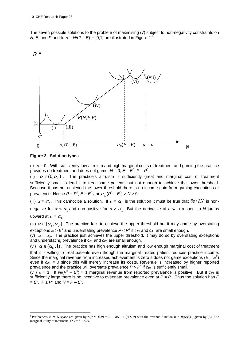The seven possible solutions to the problem of maximising (7) subject to non-negativity constraints on *N*, *E*, and *P* and to  $\alpha = N/(P - E) \in [0,1]$  are illustrated in Figure 2.<sup>6</sup>



#### **Figure 2. Solution types**

 $\overline{a}$ 

(i)  $\alpha$  = 0. With sufficiently low altruism and high marginal costs of treatment and gaming the practice provides no treatment and does not game:  $N = 0$ ,  $E = E^{\circ}$ ,  $P = P^{\circ}$ .

(ii)  $\alpha \in (0, \alpha_{I})$ . The practice's altruism is sufficiently great and marginal cost of treatment sufficiently small to lead it to treat some patients but not enough to achieve the lower threshold. Because it has not achieved the lower threshold there is no income gain from gaming exceptions or prevalence. Hence  $P = P^{\circ}$ ,  $E = E^{\circ}$  and  $\alpha_L (P^{\circ} - E^{\circ}) > N > 0$ .

(iii)  $\alpha = \alpha_L$ . This cannot be a solution. If  $\alpha = \alpha_L$  is the solution it must be true that  $\partial s / \partial N$  is nonnegative for  $\alpha < \alpha$ , and non-positive for  $\alpha > \alpha$ . But the derivative of *u* with respect to *N* jumps upward at  $\alpha = \alpha_L$ .

(iv)  $\alpha \in (\alpha_I, \alpha_I)$ . The practice fails to achieve the upper threshold but it may game by overstating exceptions  $E > E<sup>o</sup>$  and understating prevalence  $P < P<sup>o</sup>$  if  $c_{F1}$  and  $c_{F1}$  are small enough.

(v)  $\alpha = \alpha_U$ . The practice just achieves the upper threshold. It may do so by overstating exceptions and understating prevalence if  $c_{E1}$  and  $c_{P1}$  are small enough.

(vi)  $\alpha \in (\alpha_{\nu},1)$ . The practice has high enough altruism and low enough marginal cost of treatment that it is willing to treat patients even though the marginal treated patient reduces practice income. Since the marginal revenue from increased achievement is zero it does not game exceptions ( $E = E<sup>o</sup>$ ) even if  $c_{E1} = 0$  since this will merely increase its costs. Revenue is increased by higher reported prevalence and the practice will overstate prevalence  $P > P^{\circ}$  if  $c_{P1}$  is sufficiently small.

(vii)  $\alpha$  = 1. If  $N/(P^{\circ} - E^{\circ})$  = 1 marginal revenue from reported prevalence is positive. But if  $c_{P1}$  is sufficiently large there is no incentive to overstate prevalence even at  $P = P^o$ . Thus the solution has  $E$  $= E^{\circ}$ ,  $P \ge P^{\circ}$  and  $N = P - E^{\circ}$ .

<sup>&</sup>lt;sup>6</sup> Preferences in R, N space are given by  $S(R, N; E, P) = R + bN - C(N, E, P)$  with the revenue function  $R = R(N; E, P)$  given by (5). The marginal utility of treatment is  $S_N = b - c_N N$ .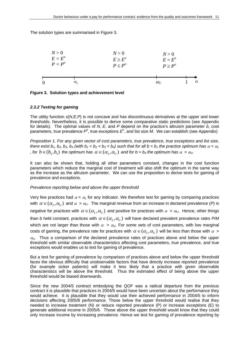The solution types are summarised in Figure 3.



| Figure 3. Solution types and achievement level |
|------------------------------------------------|
|------------------------------------------------|

#### *2.3.2 Testing for gaming*

The utility function *s*(*N*,*E*,*P*) is not concave and has discontinuous derivatives at the upper and lower thresholds. Nevertheless, it is possible to derive some comparative static predictions (see Appendix for details). The optimal values of *N*, *E*, and *P* depend on the practice's altruism parameter *b*, cost parameters, true prevalence  $P^{\circ}$ , true exceptions  $E^{\circ}$ , and list size M. We can establish (see Appendix)

*Proposition 1. For any given vector of cost parameters, true prevalence, true exceptions and list size, there exist b<sub>1</sub>, b<sub>2</sub>, b<sub>3</sub>, b<sub>4</sub> (with b<sub>1</sub> < b<sub>2</sub> < b<sub>3</sub> < b<sub>4</sub>) such that for all b < b<sub>1</sub> the practice optimum has*  $\alpha$  *<*  $\alpha$ *<sub>L</sub> , for*  $b \in (b_2, b_3)$  *the optimum has*  $\alpha \in (\alpha_L, \alpha_U)$  *and for b > b<sub>4</sub> the optimum has*  $\alpha > \alpha_U$ *.* 

It can also be shown that, holding all other parameters constant, changes in the cost function parameters which reduce the marginal cost of treatment will also shift the optimum in the same way as the increase as the altruism parameter. We can use the proposition to derive tests for gaming of prevalence and exceptions.

#### *Prevalence reporting below and above the upper threshold*

Very few practices had  $\alpha < \alpha_L$  for any indicator. We therefore test for gaming by comparing practices with  $\alpha \in (\alpha_L, \alpha_U)$  and  $\alpha > \alpha_U$ . The marginal revenue from an increase in declared prevalence (*P*) is negative for practices with  $\alpha \in (\alpha_L, \alpha_U)$  and positive for practices with  $\alpha > \alpha_U$ . Hence, other things than *b* held constant, practices with  $\alpha \in (\alpha_L, \alpha_U)$  will have declared prevalent prevalence rates P/*M* which are not larger than those with  $\alpha > \alpha_U$ . For some sets of cost parameters, with low marginal costs of gaming, the prevalence rate for practices with  $\alpha \in (\alpha_L, \alpha_U)$  will be less than those with  $\alpha >$ 

 $\alpha$ <sup>U</sup>. Thus a comparison of the declared prevalence rates of practices above and below the upper threshold with similar observable characteristics affecting cost parameters, true prevalence, and true exceptions would enables us to test for gaming of prevalence.

But a test for gaming of prevalence by comparison of practices above and below the upper threshold faces the obvious difficulty that unobservable factors that have directly increase reported prevalence (for example sicker patients) will make it less likely that a practice with given observable characteristics will be above the threshold. Thus the estimated effect of being above the upper threshold would be biased downwards.

Since the new 2004/5 contract embodying the QOF was a radical departure from the previous contract it is plausible that practices in 2004/5 would have been uncertain about the performance they would achieve. It is plausible that they would use their achieved performance in 2004/5 to inform decisions affecting 2005/6 performance. Those below the upper threshold would realise that they needed to increase treatment (N) or reduce reported prevalence (P) or increase exceptions (E) to generate additional income in 2005/6. Those above the upper threshold would know that they could only increase income by increasing prevalence. Hence we test for gaming of prevalence reporting by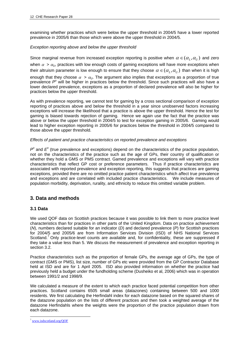examining whether practices which were below the upper threshold in 2004/5 have a lower reported prevalence in 2005/6 than those which were above the upper threshold in 2004/5.

## *Exception reporting above and below the upper threshold*

Since marginal revenue from increased exception reporting is positive when  $\alpha \in (\alpha_I, \alpha_{II})$  and zero when  $\alpha > \alpha_{\mu}$ , practices with low enough costs of gaming exceptions will have more exceptions when their altruism parameter is low enough to ensure that they choose  $\alpha \in (\alpha_{I}, \alpha_{II})$  than when it is high enough that they choose  $\alpha > \alpha_{U}$ . The argument also implies that exceptions as a proportion of true prevalence P<sup>o</sup> will be higher in practices below the threshold. Since such practices will also have a lower declared prevalence, exceptions as a proportion of declared prevalence will also be higher for practices below the upper threshold.

As with prevalence reporting, we cannot test for gaming by a cross sectional comparison of exception reporting of practices above and below the threshold in a year since unobserved factors increasing exceptions will increase the likelihood that a practice is above the upper threshold. Hence the test for gaming is biased towards rejection of gaming. Hence we again use the fact that the practice was above or below the upper threshold in 2004/5 to test for exception gaming in 2005/6. Gaming would lead to higher exception reporting in 2005/6 for practices below the threshold in 2004/5 compared to those above the upper threshold.

## *Effects of patient and practice characteristics on reported prevalence and exceptions*

 $P^{\circ}$  and  $E^{\circ}$  (true prevalence and exceptions) depend on the characteristics of the practice population, not on the characteristics of the practice such as the age of GPs, their country of qualification or whether they hold a GMS or PMS contract. Gamed prevalence and exceptions will vary with practice characteristics that reflect GP cost or preference parameters. Thus if practice characteristics are associated with reported prevalence and exception reporting, this suggests that practices are gaming exceptions, provided there are no omitted practice patient characteristics which affect true prevalence and exceptions and are correlated with included practice characteristics. We include measures of population morbidity, deprivation, rurality, and ethnicity to reduce this omitted variable problem.

## **3. Data and methods**

## **3.1 Data**

We used QOF data on Scottish practices because it was possible to link them to more practice level characteristics than for practices in other parts of the United Kingdom. Data on practice achievement (*N*), numbers declared suitable for an indicator (*D*) and declared prevalence (*P*) for Scottish practices for 2004/5 and 2005/6 are from Information Services Division (ISD) of NHS National Services Scotland.<sup>7</sup> Only practice-level counts are available and, for confidentiality, these are suppressed if they take a value less than 5. We discuss the measurement of prevalence and exception reporting in section 3.2.

Practice characteristics such as the proportion of female GPs, the average age of GPs, the type of contract (GMS or PMS), list size, number of GPs etc were provided from the GP Contractor Database held at ISD and are for 1 April 2005. ISD also provided information on whether the practice had previously held a budget under the fundholding scheme (Dusheiko et al, 2006) which was in operation between 1991/2 and 1998/9.

We calculated a measure of the extent to which each practice faced potential competition from other practices. Scotland contains 6505 small areas (datazones) containing between 500 and 1000 residents. We first calculating the Herfindahl index for each datazone based on the squared shares of the datazone population on the lists of different practices and then took a weighted average of the datazone Herfindahls where the weights were the proportion of the practice population drawn from each datazone.

 $\overline{a}$ <sup>7</sup> www.isdscotland.org/QOF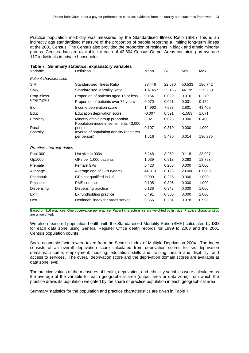Practice population morbidity was measured by the Standardised Illness Ratio (SIR.) This is an indirectly age standardised measure of the proportion of people reporting a limiting long-term illness at the 2001 Census. The Census also provided the proportion of residents in black and ethnic minority groups. Census data are available for each of 42,604 Census Output Areas containing on average 117 individuals in private households.

|                                |                                                                           | Table 7. Summary statistics: explanatory variables |           |          |         |  |  |  |  |  |
|--------------------------------|---------------------------------------------------------------------------|----------------------------------------------------|-----------|----------|---------|--|--|--|--|--|
| Variable                       | Definition                                                                | Mean                                               | <b>SD</b> | Min      | Max     |  |  |  |  |  |
| <b>Patient characteristics</b> |                                                                           |                                                    |           |          |         |  |  |  |  |  |
| <b>SIR</b>                     | Standardised Illness Ratio                                                | 98.446                                             | 22.670    | 50.533   | 186.742 |  |  |  |  |  |
| <b>SMR</b>                     | <b>Standardised Mortality Ratio</b>                                       | 107.457                                            | 25.135    | 44.199   | 329.250 |  |  |  |  |  |
| Prop15less                     | Proportion of patients aged 15 or less                                    | 0.164                                              | 0.029     | 0.016    | 0.270   |  |  |  |  |  |
| Prop75plus                     | Proportion of patients over 75 years                                      | 0.070                                              | 0.021     | 0.001    | 0.159   |  |  |  |  |  |
| Inc                            | Income deprivation score                                                  | 14.962                                             | 7.583     | 2.801    | 43.409  |  |  |  |  |  |
| Educ                           | Education deprivation score                                               | $-0.007$                                           | 0.591     | $-1.583$ | 1.671   |  |  |  |  |  |
| Ethnicity                      | Minority ethnic group proportion<br>Population mode in settlements <3,000 | 0.021                                              | 0.028     | 0.000    | 0.408   |  |  |  |  |  |
| Rural                          | people                                                                    | 0.107                                              | 0.310     | 0.000    | 1.000   |  |  |  |  |  |
| Sparsity                       | Inverse of population density (hectares<br>per person)                    | 1.516                                              | 5.470     | 0.014    | 136.375 |  |  |  |  |  |
| Practice characteristics       |                                                                           |                                                    |           |          |         |  |  |  |  |  |
| Pop1000                        | List size in 000s                                                         | 5.248                                              | 3.259     | 0.118    | 23.097  |  |  |  |  |  |
| Gp1000                         | GPs per 1,000 patients                                                    | 1.039                                              | 0.913     | 0.263    | 13.793  |  |  |  |  |  |
| Pfemale                        | <b>Female GPs</b>                                                         | 0.423                                              | 0.255     | 0.000    | 1.000   |  |  |  |  |  |
| Avgpage                        | Average age of GPs (years)                                                | 44.913                                             | 6.123     | 20,000   | 67.000  |  |  |  |  |  |
| Pcqnonuk                       | GPs not qualified in UK                                                   | 0.099                                              | 0.225     | 0.000    | 1.000   |  |  |  |  |  |
| Pmscont                        | <b>PMS</b> contract                                                       | 0.105                                              | 0.306     | 0.000    | 1.000   |  |  |  |  |  |
| Dispensing                     | Dispensing practice                                                       | 0.136                                              | 0.343     | 0.000    | 1.000   |  |  |  |  |  |
| Exfh                           | Ex fundholding practice                                                   | 0.491                                              | 0.500     | 0.000    | 1.000   |  |  |  |  |  |
| Herf                           | Herfindahl index for areas served                                         | 0.366                                              | 0.251     | 0.078    | 0.998   |  |  |  |  |  |
|                                |                                                                           |                                                    |           |          |         |  |  |  |  |  |

|  | Table 7. Summary statistics: explanatory variables |  |
|--|----------------------------------------------------|--|

Based on 916 practices. One observation per practice. Patient characteristics are weighted by list size. Practice characteristics are unweighted.

We also measured population health with the Standardised Mortality Ratio (SMR) calculated by ISD for each data zone using General Register Office death records for 1999 to 2003 and the 2001 Census population counts.

Socio-economic factors were taken from the Scottish Index of Multiple Deprivation 2004. The Index consists of an overall deprivation score calculated from deprivation scores for six deprivation domains: income; employment; housing; education, skills and training; health and disability; and access to services. The overall deprivation score and the deprivation domain scores are available at data zone level.

The practice values of the measures of health, deprivation, and ethnicity variables were calculated as the average of the variable for each geographical area (output area or data zone) from which the practice draws its population weighted by the share of practice population in each geographical area.

Summary statistics for the population and practice characteristics are given in Table 7.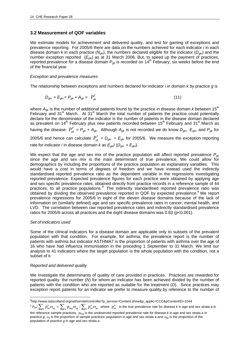## **3.2 Measurement of QOF variables**

We estimate models for achievement and delivered quality, and test for gaming of exceptions and prevalence reporting. For 2005/6 there are data on the numbers achieved for each indicator *i* in each disease domain *k* in each practice (*Ngki*), the numbers declared eligible for the indicator (*Dgki*) and the number exception reported ( $E_{gki}$ ) as at 31 March 2006. But, to speed up the payment of practices, reported prevalence for a disease domain *Pgk* is recorded on 14th February, six weeks before the end of the financial year.

## *Exception and prevalence measures*

The relationship between exceptions and numbers declared for indicator *i* in domain *k* by practice *g* is

$$
D_{gki} + E_{gki} = P_{gk} + A_{gk} = P_{gk}^T
$$
 (11)

where *A*gk is the number of additional patients found by the practice in disease domain *k* between 15th February and 31<sup>st</sup> March. At 31<sup>st</sup> March the total number of patients the practice could potentially declare for the denominator of the indicator is the number of patients in the disease domain declared as prevalent on 14<sup>th</sup> February plus new patients recorded between 15<sup>th</sup> February and 31<sup>st</sup> March as having the disease:  $P_{gk}^T = P_{gk} + A_{gk}$ . Although  $A_{gk}$  is not recorded we do know  $D_{gki}$ ,  $E_{gki}$ , and  $P_{gk}$  for 2005/6 and hence can calculate  $P_{gk}^T = D_{gki} + E_{gki}$  for 2005/6. We measure the exception reporting rate for indicator *i* in disease domain *k* as  $E_{qk}/(D_{qk i} + E_{qk i})$ .

We expect that the age and sex mix of the practice population will affect reported prevalence  $P_{gk}$ since the age and sex mix is the main determinant of true prevalence. We could allow for demographics by including the proportions of the practice population as explanatory variables. This would have a cost in terms of degrees of freedom and we have instead used the indirectly standardised reported prevalence ratio as the dependent variable in the regressions investigating reported prevalence. Expected prevalence figures for each practice were obtained by applying age and sex specific prevalence rates, obtained directly from practice records in a reference sample of 44 practices, to all practice populations.<sup>8</sup> The indirectly standardised reported prevalence ratio was obtained by dividing the observed prevalence reported in QOF by expected prevalence.<sup>9</sup> We report prevalence regressions for 2005/6 in eight of the eleven disease domains because of the lack of information on (similarly defined) age and sex specific prevalence rates in cancer, mental health, and LVD. The correlation between raw reported prevalence rates and indirectly standardised prevalence ratios for 2005/6 across all practices and the eight disease domains was 0.83 (p<0.001).

## *Set of indicators used*

Some of the clinical indicators for a disease domain are applicable only to subsets of the prevalent population with that condition. For example, for asthma, the prevalence report is the number of patients with asthma but indicator ASTHMA7 is the proportion of patients with asthma over the age of 16 who have had influenza immunisation in the preceding 1 September to 31 March. We limit our analysis to 41 indicators where the target population is the whole population with the condition, not a subset of it.

## *Reported and delivered quality*

We investigate the determinants of quality of care provided in practices. Practices are rewarded for reported quality: the number (*N*) for whom an indicator has been achieved divided by the number of patients with the condition who are reported as suitable for the treatment (*D*). Since practices may exception report patients for an indicator we prefer to measure quality by reference to the number of

 $e^9$   $P_{gk}/\sum_a p_{ka}^o\partial_{ag}=\sum_a p_{kag}\partial_{ag}/\sum_a p_{ka}^o\partial_{ga}$  where  $p_{ka}^o$  is the true prevalence rate for disease *k* in age and sex strata *a* in

 $\overline{a}$ 8 http://www.isdscotland.org/isd/servlet/controller?p\_service=Content.show&p\_applic=CCC&pContentID=1044

the reference sample practices, *pkag* is the unobserved reported prevalence rate for disease *k* in age and sex strata *a* in practice *g*, <sup>ω</sup>*a* is the proportion of sample practices' population in age and sex strata *a* and <sup>ω</sup>*ag* is the proportion of the population of practice *g* in age and sex strata *a*.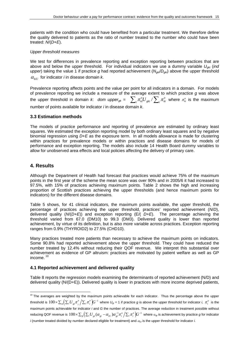patients with the condition who could have benefited from a particular treatment. We therefore define the quality delivered to patients as the ratio of number treated to the number who could have been treated: *N*/(*D*+*E*).

#### *Upper threshold measures*

We test for differences in prevalence reporting and exception reporting between practices that are above and below the upper threshold. For individual indicators we use a dummy variable *Ugki* (*ind upper*) taking the value 1 if practice *g* had reported achievement (*Ngki*/*Dgki*) above the upper threshold  $\alpha_{\text{Lill}}$  for indicator *i* in disease domain *k*.

Prevalence reporting affects points and the value per point for all indicators in a domain. For models of prevalence reporting we include a measure of the average extent to which practice *g* was above the upper threshold in domain *k*: *dom upper<sub>gk</sub>* =  $\sum_i \pi_{ki}^o U_{gki}/\sum_i \pi_{ki}^o$  where  $\pi_{ki}^o$  is the maximum number of points available for indicator *i* in disease domain *k*.

#### **3.3 Estimation methods**

The models of practice performance and reporting of prevalence are estimated by ordinary least squares. We estimated the exception reporting model by both ordinary least squares and by negative binomial regression using *D*+*E* as the exposure term. In all models allowance is made for clustering within practices for prevalence models or within practices and disease domains for models of performance and exception reporting. The models also include 14 Health Board dummy variables to allow for unobserved area effects and local policies affecting the delivery of primary care.

## **4. Results**

 $\overline{a}$ 

Although the Department of Health had forecast that practices would achieve 75% of the maximum points in the first year of the scheme the mean score was over 90% and in 2005/6 it had increased to 97.5%, with 15% of practices achieving maximum points. Table 2 shows the high and increasing proportion of Scottish practices achieving the upper thresholds (and hence maximum points for indicators) for the different disease domains.

Table 5 shows, for 41 clinical indicators, the maximum points available, the upper threshold, the percentage of practices achieving the upper threshold, practices' reported achievement (*N*/*D*), delivered quality (*N*/(*D+E*)) and exception reporting (E/( *D+E*). The percentage achieving the threshold varied from 67.0 (DM10) to 99.3 (DM3). Delivered quality is lower than reported achievement, by virtue of its definition, but is also more variable across practices. Exception reporting ranges from 0.9% (THYROID2) to 27.5% (CHD10).

Many practices treated more patients than necessary to achieve the maximum points on indicators. Some 90.8% had reported achievement above the upper threshold. They could have reduced the number treated by 12.4% without reducing their QOF revenue. We interpret this substantial over achievement as evidence of GP altruism: practices are motivated by patient welfare as well as GP income. 10

## **4.1 Reported achievement and delivered quality**

Table 8 reports the regression models examining the determinants of reported achievement (N/D) and delivered quality (N/(D+E)). Delivered quality is lower in practices with more income deprived patients,

 $10$  The averages are weighted by the maximum points achievable for each indicator. Thus the percentage above the upper threshold is  $100\times\sum_s\Bigl(\sum_i {U}_{si}\pi_i^o\Bigr)\!{\sum_i}\pi_i^o\Bigr) \!{G}^{-1}$  where  $U_{gi}$  = 1 if practice  $g$  is above the upper threshold for indicator *i*,  $\pi_i^o$  is the maximum points achievable for indicator *i* and *G* the number of practices. The average reduction in treatment possible without reducing QOF revenue is  $100\times\sum_s\Bigl( \sum_iU_{_{gi}}( \alpha_{_{gi}}-\alpha_{_{iU}}) \alpha_{_{gi}}^{-1}\pi_i^o\Bigr/ \sum_i\pi_i^o\Bigr)G^{-1}$  where  $\alpha_{gi}$  is achievement by practice  $g$  for indicator  $i$  (number treated divided by number declared eligible for treatment) and  $a_{ij}$  is the upper threshold for indicator  $i$ .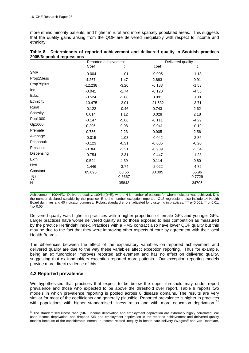more ethnic minority patients, and higher in rural and more sparsely populated areas. This suggests that the quality gains arising from the QOF are delivered inequitably with respect to income and ethnicity.

|                  | Reported achievement |         | Delivered quality |         |  |  |
|------------------|----------------------|---------|-------------------|---------|--|--|
|                  | Coef                 | t       | coef              | t       |  |  |
| <b>SMR</b>       | $-0.004$             | $-1.01$ | $-0.005$          | $-1.13$ |  |  |
| Prop15less       | 4.267                | 1.47    | 2.883             | 0.91    |  |  |
| Prop75plus       | $-12.238$            | $-3.20$ | $-6.188$          | $-1.53$ |  |  |
| Inc              | $-0.041$             | $-1.74$ | $-0.120$          | $-4.55$ |  |  |
| Educ             | $-0.524$             | $-1.88$ | 0.091             | 0.30    |  |  |
| Ethnicity        | $-10.475$            | $-2.01$ | $-21.532$         | $-3.71$ |  |  |
| Rural            | $-0.122$             | $-0.46$ | 0.743             | 2.62    |  |  |
| Sparsity         | 0.014                | 1.12    | 0.028             | 2.18    |  |  |
| Pop1000          | $-0.147$             | $-5.66$ | $-0.111$          | $-4.29$ |  |  |
| Gp1000           | 0.205                | 0.98    | $-0.041$          | $-0.19$ |  |  |
| Pfemale          | 0.756                | 2.23    | 0.905             | 2.56    |  |  |
| Avgpage          | $-0.015$             | $-1.03$ | $-0.042$          | $-2.86$ |  |  |
| Pcqnonuk         | $-0.123$             | $-0.31$ | $-0.085$          | $-0.20$ |  |  |
| Pmscont          | $-0.366$             | $-1.31$ | $-0.939$          | $-3.34$ |  |  |
| Dispensing       | $-0.754$             | $-2.31$ | $-0.447$          | $-1.28$ |  |  |
| Exfh             | 0.594                | 4.39    | 0.114             | 0.80    |  |  |
| Herf             | $-1.446$             | $-3.74$ | $-2.022$          | $-4.75$ |  |  |
| Constant         | 85.095               | 63.56   | 80.005            | 55.96   |  |  |
| $\overline{R}^2$ |                      | 0.6667  |                   | 0.7729  |  |  |
| N                |                      | 35843   |                   | 34705   |  |  |

| Table 8. Determinants of reported achievement and delivered quality in Scottish practices |  |  |  |  |  |
|-------------------------------------------------------------------------------------------|--|--|--|--|--|
| 2005/6: pooled regressions                                                                |  |  |  |  |  |

Achievement: 100\*N/D. Delivered quality: 100\*N/(D+E), where N is number of patients for whom indicator was achieved, D is the number declared suitable by the practice, E is the number exception reported. OLS regressions also include 14 Health Board dummies and 40 indicator dummies. Robust standard errors, adjusted for clustering in practices. \*\*\* p<0.001, \*\* p<0.01,  $*$  p<0.05.

Delivered quality was higher in practices with a higher proportion of female GPs and younger GPs. Larger practices have worse delivered quality as do those exposed to less competition as measured by the practice Herfindahl index. Practices with a PMS contract also have lower QOF quality but this may be due to the fact that they were improving other aspects of care by agreement with their local Health Boards.

The differences between the effect of the explanatory variables on reported achievement and delivered quality are due to the way these variables affect exception reporting. Thus for example, being an ex fundholder improves reported achievement and has no effect on delivered quality, suggesting that ex fundholders exception reported more patients. Our exception reporting models provide more direct evidence of this.

## **4.2 Reported prevalence**

We hypothesised that practices that expect to be below the upper threshold may under report prevalence and those who expected to be above the threshold over report. Table 9 reports two models in which prevalence reporting is pooled across 8 disease domains. The results are very similar for most of the coefficients and generally plausible. Reported prevalence is higher in practices with populations with higher standardised illness ratios and with more education deprivation.

 <sup>11</sup> The standardised illness ratio (SIR), income deprivation and employment deprivation are extremely highly correlated. We used income deprivation, and dropped SIR and employment deprivation in the reported achievement and delivered quality models because of the considerable interest in income related inequity in health care delivery (Wagstaff and van Doorslaer,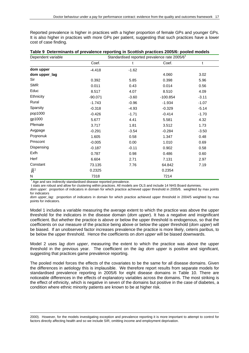Reported prevalence is higher in practices with a higher proportion of female GPs and younger GPs. It is also higher in practices with more GPs per patient, suggesting that such practices have a lower cost of case finding.

| Dependent variable | Standardised reported prevalence rate 2005/6 <sup>1</sup> |         |            |         |  |  |
|--------------------|-----------------------------------------------------------|---------|------------|---------|--|--|
|                    | Coef.                                                     | t       | Coef.      | t       |  |  |
| dom upper          | $-4.418$                                                  | $-1.62$ |            |         |  |  |
| dom upper_lag      |                                                           |         | 4.060      | 3.02    |  |  |
| Sir                | 0.392                                                     | 5.85    | 0.398      | 5.96    |  |  |
| <b>SMR</b>         | 0.011                                                     | 0.43    | 0.014      | 0.56    |  |  |
| Educ               | 8.517                                                     | 4.07    | 8.510      | 4.09    |  |  |
| Ethnicity          | $-90.071$                                                 | $-3.60$ | $-100.854$ | $-3.11$ |  |  |
| Rural              | $-1.743$                                                  | $-0.96$ | $-1.934$   | $-1.07$ |  |  |
| Sparsity           | $-0.318$                                                  | $-4.93$ | $-0.329$   | $-5.14$ |  |  |
| pop1000            | $-0.426$                                                  | $-1.71$ | $-0.414$   | $-1.70$ |  |  |
| gp1000             | 5.677                                                     | 4.41    | 5.581      | 4.32    |  |  |
| Pfemale            | 3.717                                                     | 1.81    | 3.512      | 1.73    |  |  |
| Avgpage            | $-0.291$                                                  | $-3.54$ | $-0.284$   | $-3.50$ |  |  |
| Pcqnonuk           | 1.605                                                     | 0.58    | 1.347      | 0.48    |  |  |
| Pmscont            | $-0.005$                                                  | 0.00    | 1.010      | 0.69    |  |  |
| Dispensing         | $-0.187$                                                  | $-0.11$ | 0.902      | 0.58    |  |  |
| Exfh               | 0.787                                                     | 0.98    | 0.486      | 0.60    |  |  |
| Herf               | 6.604                                                     | 2.71    | 7.131      | 2.97    |  |  |
| Constant           | 73.135                                                    | 7.76    | 64.842     | 7.19    |  |  |
| $\overline{R}^2$   | 0.2325                                                    |         | 0.2354     |         |  |  |
| N                  | 7318                                                      |         | 7214       |         |  |  |

| Table 9 Determinants of prevalence reporting in Scottish practices 2005/6: pooled models |  |  |  |  |
|------------------------------------------------------------------------------------------|--|--|--|--|
|------------------------------------------------------------------------------------------|--|--|--|--|

<sup>1</sup> Age and sex indirectly standardised disease reported prevalence.

t stats are robust and allow for clustering within practices. All models are OLS and include 14 NHS Board dummies.

*dom upper*: proportion of indicators in domain for which practice achieved upper threshold in 2005/6. weighted by max points for indicators

*dom upper\_lag*: proportion of indicators in domain for which practice achieved upper threshold in 2004/5 weighted by max points for indicators.

Model 1 includes a variable measuring the average extent to which the practice was above the upper threshold for the indicators in the disease domain (*dom upper*). It has a negative and insignificant coefficient. But whether the practice is above or below the upper threshold is endogenous, so that the coefficients on our measure of the practice being above or below the upper threshold (*dom upper*) will be biased. If an unobserved factor increases prevalence the practice is more likely, ceteris paribus, to be below the upper threshold. Hence the coefficients on *dom upper* will be biased downwards.

Model 2 uses *lag dom upper*, measuring the extent to which the practice was above the upper threshold in the previous year. The coefficient on the *lag dom upper* is positive and significant, suggesting that practices game prevalence reporting.

The pooled model forces the effects of the covariates to be the same for all disease domains. Given the differences in aetiology this is implausible. We therefore report results from separate models for standardised prevalence reporting in 2005/6 for eight disease domains in Table 10. There are noticeable differences in the effects of explanatory variables across the domains. The most striking is the effect of ethnicity, which is negative in seven of the domains but positive in the case of diabetes, a condition where ethnic minority patients are known to be at higher risk.

 $\overline{a}$ 2000). However, for the models investigating exception and prevalence reporting it is more important to attempt to control for factors directly affecting health and so we include SIR, omitting income and employment deprivation.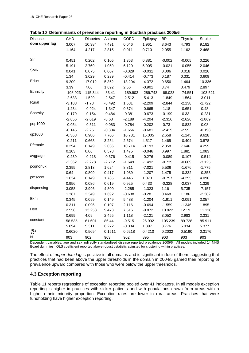|                           | <b>DUNITION</b><br><b>CHD</b> | <b>Diabetes</b> | Asthma   | prevaience reporting in ocottism praetices zoosio<br><b>COPD</b> | Epilepsy   | BP        | Thyroid   | Stroke     |
|---------------------------|-------------------------------|-----------------|----------|------------------------------------------------------------------|------------|-----------|-----------|------------|
| Disease:<br>dom upper lag | 3.007                         | 10.384          | 7.491    |                                                                  | 1.961      |           | 4.793     | 9.182      |
|                           |                               |                 |          | 0.046                                                            |            | 3.643     |           |            |
|                           | 1.164                         | 4.217           | 2.815    | 0.011                                                            | 0.710      | 2.055     | 1.162     | 2.468      |
| Sir                       |                               |                 |          |                                                                  |            |           |           |            |
|                           | 0.451                         | 0.202           | 0.105    | 1.363                                                            | 0.881      | $-0.002$  | $-0.005$  | 0.226      |
| <b>SMR</b>                | 5.191                         | 2.769           | 1.059    | 6.120                                                            | 5.905      | $-0.021$  | $-0.055$  | 2.046      |
|                           | 0.041                         | 0.075           | 0.007    | $-0.029$                                                         | $-0.031$   | 0.006     | 0.018     | 0.026      |
| Educ                      | 1.34                          | 3.029           | 0.239    | $-0.414$                                                         | $-0.773$   | 0.187     | 0.331     | 0.609      |
|                           | 9.209                         | 17.012          | 5.362    | 18.204                                                           | $-4.372$   | 9.656     | 1.464     | 10.336     |
| Ethnicity                 | 3.39                          | 7.06            | 1.692    | 2.56                                                             | $-0.901$   | 3.74      | 0.479     | 2.897      |
|                           | $-108.923$                    | 115.344         | $-83.41$ | $-189.902$                                                       | $-289.743$ | $-68.023$ | $-74.551$ | $-103.521$ |
| Rural                     | $-2.633$                      | 1.529           | $-2.547$ | $-2.512$                                                         | $-5.413$   | $-1.849$  | $-1.564$  | $-3.011$   |
|                           | $-3.108$                      | $-1.73$         | $-3.492$ | 1.531                                                            | $-2.209$   | $-2.844$  | $-2.138$  | $-1.722$   |
| Sparsity                  | $-1.234$                      | $-0.924$        | $-1.347$ | 0.374                                                            | $-0.665$   | $-1.18$   | $-0.651$  | $-0.48$    |
|                           | $-0.179$                      | $-0.154$        | $-0.484$ | $-0.381$                                                         | $-0.673$   | $-0.199$  | $-0.33$   | $-0.231$   |
|                           | $-2.056$                      | $-2.019$        | $-3.68$  | $-2.189$                                                         | $-4.204$   | $-2.316$  | $-2.626$  | $-1.869$   |
| pop1000                   | $-0.054$                      | $-0.511$        | $-0.083$ | $-0.784$                                                         | $-0.202$   | $-0.73$   | $-0.832$  | $-0.08$    |
|                           | $-0.145$                      | $-2.26$         | $-0.304$ | $-1.656$                                                         | $-0.681$   | $-2.419$  | $-2.59$   | $-0.198$   |
| gp1000                    | $-0.368$                      | 0.986           | 7.706    | 10.781                                                           | 15.005     | 2.658     | $-1.145$  | 9.628      |
|                           | $-0.211$                      | 0.668           | 3.254    | 2.674                                                            | 4.517      | 1.465     | $-0.404$  | 3.878      |
| Pfemale                   | 0.294                         | 0.149           | 2.036    | 10.714                                                           | $-0.193$   | 2.858     | 7.646     | 4.255      |
|                           | 0.103                         | 0.06            | 0.578    | 1.475                                                            | $-0.046$   | 0.997     | 1.881     | 1.083      |
| avgpage                   | $-0.239$                      | $-0.218$        | $-0.376$ | $-0.415$                                                         | $-0.276$   | $-0.089$  | $-0.107$  | $-0.514$   |
|                           | $-2.362$                      | $-2.278$        | $-2.712$ | $-1.649$                                                         | $-1.492$   | $-0.739$  | $-0.609$  | $-3.125$   |
| pcqnonuk                  | 2.395                         | 2.813           | 1.624    | 8.811                                                            | $-7.021$   | 5.536     | $-1.676$  | $-1.775$   |
|                           | 0.64                          | 0.809           | 0.417    | 1.089                                                            | $-1.207$   | 1.475     | $-0.332$  | $-0.353$   |
| pmscont                   | 1.634                         | 0.149           | 1.785    | 4.446                                                            | 1.073      | $-0.757$  | $-4.295$  | 4.096      |
|                           | 0.956                         | 0.086           | 0.619    | 0.925                                                            | 0.433      | $-0.328$  | $-2.037$  | 1.329      |
| dispensing                | 3.058                         | 3.996           | 4.809    | $-2.285$                                                         | $-1.323$   | 1.16      | 5.735     | $-7.157$   |
|                           | 1.387                         | 2.349           | 1.692    | $-0.638$                                                         | $-0.28$    | 0.468     | 1.186     | $-2.382$   |
| Exfh                      | 0.345                         | 0.099           | 0.149    | 5.488                                                            | $-1.204$   | $-1.911$  | $-2.091$  | 3.057      |
|                           | 0.311                         | 0.096           | 0.107    | 2.116                                                            | $-0.694$   | $-1.559$  | $-1.346$  | 1.895      |
| Herf                      | 2.558                         | 13.258          | 9.473    | 7.516                                                            | $-9.872$   | 10.822    | 12.19     | 11.138     |
|                           | 0.699                         | 4.09            | 2.455    | 1.118                                                            | $-2.121$   | 3.052     | 2.983     | 2.331      |
| constant                  | 58.535                        | 61.601          | 86.44    | $-9.515$                                                         | 26.992     | 105.239   | 89.728    | 85.911     |
|                           | 5.094                         | 5.311           | 6.272    | $-0.334$                                                         | 1.397      | 8.776     | 5.934     | 5.377      |
| $\overline{R}^2$          | 0.6020                        | 0.5694          | 0.1511   | 0.6218                                                           | 0.4210     | 0.2032    | 0.5190    | 0.3176     |
| Ν                         | 903                           | 902             | 903      | 902                                                              | 895        | 903       | 903       | 903        |

Dependent variables: age and sex indirectly standardised disease reported prevalence 2005/6. All models included 14 NHS Board dummies. OLS coefficient reported above robust t statistic adjusted for clustering within practices.

The effect of *upper dom lag* is positive in all domains and is significant in four of them, suggesting that practices that had been above the upper thresholds in the domain in 2004/5 gamed their reporting of prevalence upward compared with those who were below the upper thresholds.

## **4.3 Exception reporting**

Table 11 reports regressions of exception reporting pooled over 41 indicators. In all models exception reporting is higher in practices with sicker patients and with populations drawn from areas with a higher ethnic minority proportion. Exception rates are lower in rural areas. Practices that were fundholding have higher exception reporting.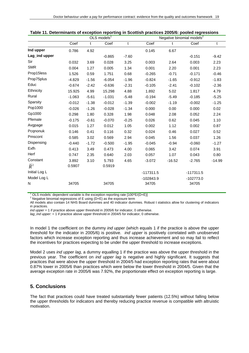|                  | OLS models <sup>1</sup> |         |          |             | Negative binomial models <sup>2</sup> |          |             |              |
|------------------|-------------------------|---------|----------|-------------|---------------------------------------|----------|-------------|--------------|
|                  | Coef                    | t       | Coef     | $\mathbf t$ | Coef                                  | t        | Coef        | $\mathbf{t}$ |
| Ind upper        | 0.786                   | 4.92    |          |             | 0.145                                 | 6.67     |             |              |
| Lag_ind upper    |                         |         | $-0.865$ | $-7.60$     |                                       |          | $-0.151$    | $-9.42$      |
| Sir              | 0.032                   | 3.69    | 0.028    | 3.25        | 0.003                                 | 2.64     | 0.003       | 2.23         |
| <b>SMR</b>       | 0.004                   | 1.27    | 0.005    | 1.34        | 0.001                                 | 2.20     | 0.001       | 2.23         |
| Prop15less       | 1.526                   | 0.59    | 1.751    | 0.68        | $-0.265$                              | $-0.71$  | $-0.171$    | $-0.46$      |
| Prop75plus       | $-4.829$                | $-1.56$ | $-6.054$ | $-1.96$     | $-0.824$                              | $-1.65$  | $-0.912$    | $-1.83$      |
| Educ             | $-0.674$                | $-2.42$ | $-0.636$ | $-2.31$     | $-0.105$                              | $-2.41$  | $-0.102$    | $-2.36$      |
| Ethnicity        | 15.925                  | 4.99    | 15.298   | 4.88        | 1.892                                 | 5.02     | 1.817       | 4.79         |
| Rural            | $-1.063$                | $-5.61$ | $-1.031$ | $-5.48$     | $-0.194$                              | $-5.49$  | $-0.185$    | $-5.25$      |
| Sparsity         | $-0.012$                | $-1.38$ | $-0.012$ | $-1.39$     | $-0.002$                              | $-1.19$  | $-0.002$    | $-1.25$      |
| Pop1000          | $-0.026$                | $-1.26$ | $-0.028$ | $-1.34$     | 0.000                                 | 0.00     | 0.000       | 0.02         |
| Gp1000           | 0.298                   | 1.80    | 0.328    | 1.98        | 0.048                                 | 2.08     | 0.052       | 2.24         |
| Pfemale          | $-0.175$                | $-0.61$ | $-0.070$ | $-0.25$     | 0.026                                 | 0.62     | 0.045       | 1.10         |
| Avgpage          | 0.015                   | 1.27    | 0.012    | 1.05        | 0.002                                 | 1.12     | 0.002       | 0.87         |
| Pcqnonuk         | 0.146                   | 0.41    | 0.116    | 0.32        | 0.024                                 | 0.46     | 0.027       | 0.52         |
| Pmscont          | 0.585                   | 3.02    | 0.569    | 2.94        | 0.045                                 | 1.56     | 0.037       | 1.26         |
| Dispensing       | $-0.440$                | $-1.72$ | $-0.500$ | $-1.95$     | $-0.045$                              | $-0.94$  | $-0.060$    | $-1.27$      |
| Exfh             | 0.413                   | 3.49    | 0.473    | 4.00        | 0.065                                 | 3.42     | 0.074       | 3.91         |
| Herf             | 0.747                   | 2.35    | 0.640    | 2.03        | 0.057                                 | 1.07     | 0.043       | 0.80         |
| Constant         | 3.892                   | 3.10    | 5.793    | 4.65        | $-3.072$                              | $-16.52$ | $-2.765$    | $-14.99$     |
| $\overline{R}^2$ | 0.5907                  |         | 0.5919   |             |                                       |          |             |              |
| Initial Log L    |                         |         |          |             | $-117311.5$                           |          | $-117311.5$ |              |
| Model Log L      |                         |         |          |             | $-102843.9$                           |          | $-102773.0$ |              |
| N                | 34705                   |         | 34705    |             | 34705                                 |          | 34705       |              |

| Table 11. Determinants of exception reporting in Scottish practices 2005/6: pooled regressions |  |  |  |  |
|------------------------------------------------------------------------------------------------|--|--|--|--|
|                                                                                                |  |  |  |  |

<sup>1</sup> OLS models: dependent variable is the exception reporting rate  $[100*E/(D+E)]$ <br> $^2$  Negative binamial regressions of  $E$  vaing  $(D+E)$  as the expect to term

<sup>2</sup> Negative binomial regressions of E using (D+E) as the exposure term

All models also contain 14 NHS Board dummies and 40 indicator dummies. Robust t statistics allow for clustering of indicators in practices.

*ind upper* = 1 if practice above upper threshold in 2005/6 for indicator, 0 otherwise.

*lag ind upper:*  $= 1$  if practice above upper threshold in 2004/5 for indicator, 0 otherwise.

In model 1 the coefficient on the dummy *ind upper* (which equals 1 if the practice is above the upper threshold for the indicator in 2005/6) is positive. *ind upper* is positively correlated with unobserved factors which increase exception reporting and thus increase achievement and so may fail to reflect the incentives for practices expecting to be under the upper threshold to increase exceptions.

Model 2 uses *ind upper lag*, a dummy equalling 1 if the practice was above the upper threshold in the previous year. The coefficient on *ind upper lag* is negative and highly significant. It suggests that practices that were above the upper threshold in 2004/5 had exception reporting rates that were about 0.87% lower in 2005/6 than practices which were below the lower threshold in 2004/5. Given that the average exception rate in 2005/6 was 7.92%, the proportionate effect on exception reporting is large.

## **5. Conclusions**

The fact that practices could have treated substantially fewer patients (12.5%) without falling below the upper thresholds for indicators and thereby reducing practice revenue is compatible with altruistic motivation.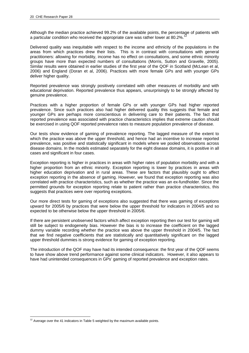Although the median practice achieved 99.2% of the available points, the percentage of patients with a particular condition who received the appropriate care was rather lower at 80.2%.

Delivered quality was inequitable with respect to the income and ethnicity of the populations in the areas from which practices drew their lists. This is in contrast with consultations with general practitioners: allowing for morbidity, income has no effect on consultations, and some ethnic minority groups have more than expected numbers of consultations (Morris, Sutton and Gravelle, 2005). Similar results were obtained in earlier studies of the first year of the QOF in Scotland (McLean et al, 2006) and England (Doran et al, 2006). Practices with more female GPs and with younger GPs deliver higher quality.

Reported prevalence was strongly positively correlated with other measures of morbidity and with educational deprivation. Reported prevalence thus appears, unsurprisingly to be strongly affected by genuine prevalence.

Practices with a higher proportion of female GPs or with younger GPs had higher reported prevalence. Since such practices also had higher delivered quality this suggests that female and younger GPs are perhaps more conscientious in delivering care to their patients. The fact that reported prevalence was associated with practice characteristics implies that extreme caution should be exercised in using QOF reported prevalence rates to measure population prevalence of disease.

Our tests show evidence of gaming of prevalence reporting. The lagged measure of the extent to which the practice was above the upper threshold, and hence had an incentive to increase reported prevalence, was positive and statistically significant in models where we pooled observations across disease domains. In the models estimated separately for the eight disease domains, it is positive in all cases and significant in four cases.

Exception reporting is higher in practices in areas with higher rates of population morbidity and with a higher proportion from an ethnic minority. Exception reporting is lower by practices in areas with higher education deprivation and in rural areas. These are factors that plausibly ought to affect exception reporting in the absence of gaming. However, we found that exception reporting was also correlated with practice characteristics, such as whether the practice was an ex-fundholder. Since the permitted grounds for exception reporting relate to patient rather than practice characteristics, this suggests that practices were over reporting exceptions.

Our more direct tests for gaming of exceptions also suggested that there was gaming of exceptions upward for 2005/6 by practices that were below the upper threshold for indicators in 2004/5 and so expected to be otherwise below the upper threshold in 2005/6.

If there are persistent unobserved factors which affect exception reporting then our test for gaming will still be subject to endogeneity bias. However the bias is to increase the coefficient on the lagged dummy variable recording whether the practice was above the upper threshold in 2004/5. The fact that we find negative coefficients that are statistically and quantitatively significant on the lagged upper threshold dummies is strong evidence for gaming of exception reporting.

The introduction of the QOF may have had its intended consequence: the first year of the QOF seems to have show above trend performance against some clinical indicators. However, it also appears to have had unintended consequences in GPs' gaming of reported prevalence and exception rates.

 $\overline{a}$  $12$  Average over the 41 indicators in Table 5 weighted by the maximum available points.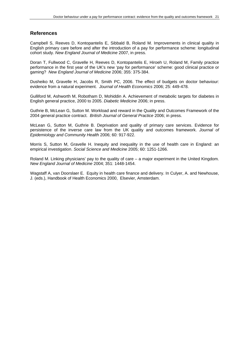## **References**

Campbell S, Reeves D, Kontopantelis E, Sibbald B, Roland M. Improvements in clinical quality in English primary care before and after the introduction of a pay for performance scheme: longitudinal cohort study. *New England Journal of Medicine* 2007, in press.

Doran T, Fullwood C, Gravelle H, Reeves D, Kontopantelis E, Hiroeh U, Roland M, Family practice performance in the first year of the UK's new 'pay for performance' scheme: good clinical practice or gaming? *New England Journal of Medicine* 2006; 355: 375-384.

Dusheiko M, Gravelle H, Jacobs R, Smith PC, 2006. The effect of budgets on doctor behaviour: evidence from a natural experiment. *Journal of Health Economics* 2006; 25: 449-478.

Gulliford M, Ashworth M, Robotham D, Mohiddin A. Achievement of metabolic targets for diabetes in English general practice, 2000 to 2005. *Diabetic Medicine* 2006; in press.

Guthrie B, McLean G, Sutton M. Workload and reward in the Quality and Outcomes Framework of the 2004 general practice contract. *British Journal of General Practice* 2006; in press.

McLean G, Sutton M, Guthrie B. Deprivation and quality of primary care services. Evidence for persistence of the inverse care law from the UK quality and outcomes framework. *Journal of Epidemiology and Community Health* 2006; 60: 917-922.

Morris S, Sutton M, Gravelle H. Inequity and inequality in the use of health care in England: an empirical investigation. *Social Science and Medicine* 2005; 60: 1251-1266.

Roland M. Linking physicians' pay to the quality of care – a major experiment in the United Kingdom. *New England Journal of Medicine* 2004; 351: 1448-1454.

Wagstaff A, van Doorslaer E. Equity in health care finance and delivery. In Culyer, A. and Newhouse, J. (eds.), Handbook of Health Economics 2000, Elsevier, Amsterdam.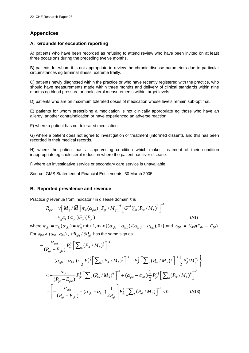## **Appendices**

## **A. Grounds for exception reporting**

A) patients who have been recorded as refusing to attend review who have been invited on at least three occasions during the preceding twelve months.

B) patients for whom it is not appropriate to review the chronic disease parameters due to particular circumstances eg terminal illness, extreme frailty.

C) patients newly diagnosed within the practice or who have recently registered with the practice, who should have measurements made within three months and delivery of clinical standards within nine months eg blood pressure or cholesterol measurements within target levels.

D) patients who are on maximum tolerated doses of medication whose levels remain sub-optimal.

E) patients for whom prescribing a medication is not clinically appropriate eg those who have an allergy, another contraindication or have experienced an adverse reaction.

F) where a patient has not tolerated medication.

G) where a patient does not agree to investigation or treatment (informed dissent), and this has been recorded in their medical records.

H) where the patient has a supervening condition which makes treatment of their condition inappropriate eg cholesterol reduction where the patient has liver disease.

I) where an investigative service or secondary care service is unavailable.

Source: GMS Statement of Financial Entitlements, 30 March 2005.

## **B. Reported prevalence and revenue**

Practice *g* revenue from indicator *i* in disease domain *k* is

$$
R_{gki} = \nu \Big[ M_g / \bar{M} \Big] \pi_{ki} (\alpha_{gki}) \Big[ P_{gk} / M_g \Big]^{\frac{1}{2}} \Big[ G^{-1} \sum_h (P_{hk} / M_h)^{\frac{1}{2}} \Big]^{-1}
$$
  
=  $\overline{\nu}_g \pi_{ki} (\alpha_{gki}) F_{gk} (P_{gk})$  (A1)

where  $\pi_{gki} = \pi_{ki}(\alpha_{gki}) = \pi_{ki}^o \min\{1, \max\{(\alpha_{gki} - \alpha_{kil})/(\alpha_{kil} - \alpha_{kil}), 0\}\}\$  and  $\alpha_{gki} = N_{gki}/(P_{gki} - E_{gki})$ . For  $\alpha_{gki} \in (\alpha_{kiL}, \alpha_{kiU})$  ,  $\partial R_{gki} / \partial P_{gk}$  has the same sign as

$$
-\frac{\alpha_{gki}}{(P_{gk} - E_{gki})} P_{gk}^{\frac{1}{2}} \Big[ \sum_{h} (P_{hk} / M_{h})^{\frac{1}{2}} \Big]^{-1} + (\alpha_{gki} - \alpha_{kil}) \Big\{ \frac{1}{2} P_{gk}^{-\frac{1}{2}} \Big[ \sum_{h} (P_{hk} / M_{h})^{\frac{1}{2}} \Big]^{-1} - P_{gk}^{\frac{1}{2}} \Big[ \sum_{h} (P_{hk} / M_{h})^{\frac{1}{2}} \Big]^{-2} \frac{1}{2} P_{gk}^{-\frac{1}{2}} M_{g}^{-\frac{1}{2}} \Big\} < -\frac{\alpha_{gki}}{(P_{gk} - E_{gki})} P_{gk}^{\frac{1}{2}} \Big[ \sum_{h} (P_{hk} / M_{h})^{\frac{1}{2}} \Big]^{-1} + (\alpha_{gki} - \alpha_{kil}) \frac{1}{2} P_{gk}^{-\frac{1}{2}} \Big[ \sum_{h} (P_{hk} / M_{h})^{\frac{1}{2}} \Big]^{-1} = \Big[ -\frac{\alpha_{gki}}{(P_{gk} - E_{gki})} + (\alpha_{gki} - \alpha_{kil}) \frac{1}{2P_{gk}} \Big[ P_{gk}^{\frac{1}{2}} \Big[ \sum_{h} (P_{hk} / M_{h}) \Big]^{-1} < 0 \tag{A13}
$$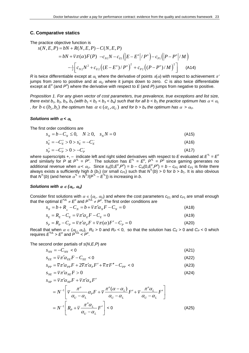#### **C. Comparative statics**

The practice objective function is

$$
s(N, E, P) = bN + R(N, E, P) - C(N, E, P)
$$
  
=  $bN + \overline{v}\pi(\alpha)F(P) - c_{N1}N - c_{E1}(|E - E^o|/P^o) - c_{P1}(|P - P^o|/M)$   

$$
-\frac{1}{2}\Big[c_{N2}N^2 + c_{E2}((E - E^o)/P^o)^2 + c_{P2}((P - P^o)/M)^2\Big]
$$
 (A14)

*R* is twice differentiable except at  $\alpha_l$  where the derivative of points  $\pi(\alpha)$  with respect to achievement  $\pi'$ jumps from zero to positive and at  $\alpha_U$  where it jumps down to zero. *C* is also twice differentiable except at  $E^{\circ}$  (and  $P^{\circ}$ ) where the derivative with respect to E (and P) jumps from negative to positive.

*Proposition 1. For any given vector of cost parameters, true prevalence, true exceptions and list size, there exist b<sub>1</sub>, b<sub>2</sub>, b<sub>3</sub>, b<sub>4</sub> (with b<sub>1</sub> < b<sub>2</sub> < b<sub>3</sub> < b<sub>4</sub>) such that for all b < b<sub>1</sub> the practice optimum has*  $\alpha$  *<*  $\alpha$ *<sub>l</sub> , for*  $b \in (b_1, b_2)$  *the optimum has*  $\alpha \in (\alpha_1, \alpha_1)$  *and for b > b<sub>4</sub> the optimum has*  $\alpha > \alpha_0$ *.* 

#### *Solutions with* α *<* <sup>α</sup>*<sup>L</sup>*

The first order conditions are

$$
s_N = b - C_N \le 0, \quad N \ge 0, \quad s_N N = 0 \tag{A15}
$$

$$
s_E^+ = -C_E^+ > 0 > s_E^- = -C_E^- \tag{A16}
$$

$$
s_P^+ = -C_P^+ > 0 > -C_P^- \tag{A17}
$$

where superscripts +,  $-$  indicate left and right sided derivatives with respect to *E* evaluated at  $E^{\perp} = E^{\circ}$ and similarly for P at  $P^{\dagger} = P^{\circ}$ . The solution has  $E^{\dagger} = E^{\circ}$ ,  $P^{\dagger} = P^{\circ}$  since gaming generates no additional revenue when  $\alpha < \alpha_U$ . Since  $s_N(0, E^0, P^0) = b - C_N(0, E^0, P^0) = b - c_{P1}$  and  $c_{P1}$  is finite there always exists a sufficiently high *b* (*b*<sub>1</sub>) (or small  $c_{P1}$ ) such that  $N^{t}(b) > 0$  for  $b > b_1$ . It is also obvious that  $N^{t}(b)$  (and hence  $\alpha^{t} = N^{t}/(P^{t} - E^{t})$ ) is increasing in *b*.

## *Solutions with*  $\alpha \in (\alpha_L, \alpha_U)$

Consider first solutions with  $\alpha \in (\alpha_L, \alpha_U)$  and where the cost parameters  $c_{E1}$  and  $c_{P1}$  are small enough that the optimal  $E^{\text{t/L}} \neq E^{\text{o}}$  and  $P^{\text{t/L}} \neq P^{\text{o}}$ . The first order conditions are

$$
s_N = b + R_N - C_N = b + \overline{v}\pi'\alpha_N F - C_N = 0
$$
\n(A18)

$$
s_E = R_E - C_E = \overline{v}\pi'\alpha_E F - C_E = 0
$$
\n
$$
s_P = R_P - C_P = \overline{v}\pi'\alpha_P F + \overline{v}\pi(\alpha)F' - C_P = 0
$$
\n(A19)

Recall that when  $\alpha \in (\alpha_L, \alpha_U)$ ,  $R_E > 0$  and  $R_P < 0$ , so that the solution has  $C_E > 0$  and  $C_P < 0$  which requires  $E^{\text{UL}} > E^{\text{o}}$  and  $P^{\text{UL}} < P^{\text{o}}$ .

The second order partials of *s*(*N*,*E*,*P*) are

$$
S_{NN} = -C_{NN} < 0 \tag{A21}
$$

$$
S_{EE} = \overline{v}\pi'\alpha_{EE}F - C_{EE} < 0\tag{A22}
$$

$$
S_{PP} = \overline{v}\pi'\alpha_{PP}F + 2\overline{v}\pi'\alpha_{P}F' + \overline{v}\pi F'' - C_{PP} < 0 \tag{A23}
$$

$$
S_{NE} = \overline{v} \pi' \alpha_{NE} F > 0 \tag{A24}
$$

$$
S_{NP} = \overline{v} \pi' \alpha_{NP} F + \overline{v} \pi' \alpha_N F'
$$

$$
= N^{-1} \left[ \overline{v} \frac{\pi^{\circ}}{\alpha_{U} - \alpha_{L}} \alpha_{P} F + \overline{v} \frac{\pi^{\circ} (\alpha - \alpha_{L})}{\alpha_{U} - \alpha_{L}} F' + \overline{v} \frac{\pi^{\circ} \alpha_{L}}{\alpha_{U} - \alpha_{L}} F' \right]
$$
  

$$
= N^{-1} \left[ R_{P} + \overline{v} \frac{\pi^{\circ} \alpha_{L}}{\alpha_{U} - \alpha_{L}} F' \right] < 0
$$
 (A25)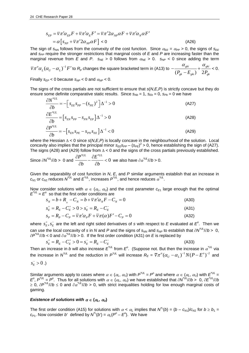$$
S_{EP} = \overline{v}\pi'\alpha_{EP}F + \overline{v}\pi'\alpha_E F' = \overline{v}\pi'2\alpha_{NP}\alpha F + \overline{v}\pi'\alpha_N\alpha F'
$$
  
=  $\alpha \left[ s_{NP} + \overline{v}\pi'2\alpha_{NP}\alpha F \right] < 0$  (A26)

The sign of  $s_{NN}$  follows from the convexity of the cost function. Since  $\alpha_{EE} = \alpha_{PP} > 0$ , the signs of  $s_{EE}$ and *s<sub>PP</sub>* require the stronger restrictions that marginal costs of *E* and *P* are increasing faster than the marginal revenue from *E* and *P*.  $s_{NE} > 0$  follows from  $\alpha_{NE} > 0$ .  $s_{NP} < 0$  since adding the term

 $\sqrt[m]{\pi}^o \alpha_{L} (\alpha_{U} - \alpha_{L})^{-1} F'$  to  $R_\rho$  changes the square bracketed term in (A13) to  $-\frac{\alpha_{gki}}{(P_{\text{e}k} - E_{\text{e}ki})} + \frac{\alpha_{gki}}{2P_{\text{e}k}}$  $P_{gk} - E_{gki}$ ) 2 $P_{gk}$  $-\frac{\alpha_{gki}}{(P_{ol} - E_{oli})} + \frac{\alpha_{gki}}{2P_{ol}} < 0.$ 

Finally  $s_{EP}$  < 0 because  $s_{NP}$  < 0 and  $\alpha_{NP}$  < 0.

The signs of the cross partials are not sufficient to ensure that *s*(*N*,*E*,*P*) is strictly concave but they do ensure some definite comparative static results. Since  $s_{Nb} = 1$ ,  $s_{Eb} = 0$ ,  $s_{Pb} = 0$  we have

$$
\frac{\partial N^{*UL}}{\partial b} = -\Big[ s_{EE} s_{PP} - (s_{PE})^2 \Big] \Delta^{-1} > 0 \tag{A27}
$$

$$
\frac{\partial E^{*UL}}{\partial b} = \left[ s_{EN} s_{PP} - s_{PN} s_{EP} \right] \Delta^{-1} > 0 \tag{A28}
$$

$$
\frac{\partial P^{*UL}}{\partial b} = -\Big[s_{EN}s_{PE} - s_{PN}s_{EE}\Big]\Delta^{-1} < 0\tag{A29}
$$

where the Hessian ∆ < 0 since *s*(*N*,*E*,*P*) is locally concave in the neighbourhood of the solution. Local concavity also implies that the principal minor  $s_{EE}^2S_{PP}-(S_{PE})^2>0$ , hence establishing the sign of (A27). The signs (A28) and (A29) follow from  $\Delta < 0$  and the signs of the cross partials previously established.

Since 
$$
\partial N^{*UL}/\partial b > 0
$$
 and  $\frac{\partial P^{*UL}}{\partial b} - \frac{\partial E^{*UL}}{\partial b} < 0$  we also have  $\partial \alpha^{*UL}/\partial b > 0$ .

Given the separability of cost function in *N*, *E*, and *P* similar arguments establish that an increase in  $c_{M1}$  or  $c_{M2}$  reduces  $N^{UL}$  and  $E^{UL}$ , increases  $P^{UL}$ , and hence reduces  $\alpha^{UL}$ .

Now consider solutions with  $\alpha \in (\alpha_L, \alpha_U)$  and the cost parameter  $c_{E1}$  large enough that the optimal  $E^{\text{UL}} = E^{\text{o}}$  so that the first order conditions are

$$
s_N = b + R_{N} - C_N = b + \overline{v}\pi' \alpha_N F - C_N = 0
$$
\n(A30)

$$
s_E^+ = R_E - C_E^+ > 0 > s_E^- = R_E - C_E^- \tag{A31}
$$

$$
s_p = R_p - C_p = \overline{v}\pi'\alpha_p F + \overline{v}\pi(\alpha)F' - C_p = 0
$$
\n(A32)

where  $s_E^+, s_E^-$  are the left and right sided derivatives of *s* with respect to *E* evaluated at  $E^o$ . Then we can use the local concavity of *s* in *N* and *P* and the signs of  $s_{NN}$  and  $s_{NP}$  to establish that  $\partial N^{UL}/\partial b > 0$ , ∂*P\*UL*/∂*b* < 0 and ∂<sup>α</sup> *\*UL*/∂*b* > 0. If the first order condition (A31) on *E* is replaced by

$$
s_E^+ = R_E - C_E^+ > 0 = s_E^- = R_E - C_E^- \tag{A33}
$$

Then an increase in *b* will also increase  $E^{^*UL}$  from  $E^o$ . (Suppose not. But then the increase in  $\alpha^{^*UL}$  via the increase in  $N^{'UL}$  and the reduction in  $P^{'UL}$  will increase  $R_E$  =  $\overline{v}\pi^o(\alpha_{_U}-\alpha_{_L})^{-1}N(P-E^o)^{-2}$  and

$$
s_{\scriptscriptstyle E}^->0\;.)
$$

Similar arguments apply to cases where  $\alpha \in (\alpha_L, \alpha_U)$  with  $P^{\dagger UL} = P^{\circ}$  and where  $\alpha \in (\alpha_L, \alpha_U)$  with  $E^{\dagger UL} =$  $E^0$ ,  $P^{^*UL} = P^0$ . Thus for all solutions with  $\alpha \in (\alpha_L, \alpha_U)$  we have established that  $\partial N^{^*UL}/\partial b > 0$ ,  $\partial E^{^*UL}/\partial b$ 2 0, ∂P<sup>\*∪L</sup>/∂*b* ≤ 0 and ∂a<sup>\*∪L</sup>/∂*b* > 0, with strict inequalities holding for low enough marginal costs of gaming.

#### *Existence of solutions with*  $\alpha \in (\alpha_L, \alpha_U)$

The first order condition (A15) for solutions with  $\alpha < \alpha_L$  implies that  $N^L(b) = (b - c_{N1})/c_{N2}$  for  $b \ge b_1 =$ *c<sub>P1</sub>*. Now consider *b'* defined by  $N^{\dagger}(b') = \alpha_L(P^{\circ} - E^{\circ})$ . We have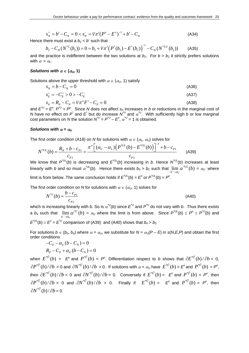$$
s_N^+ = b' - C_N = 0 < s_N^- = \overline{v}\pi'(P^o - E^o)^{-1} + b' - C_N \tag{A34}
$$

Hence there must exist a  $b_2 < b'$  such that

$$
b_2 - C_N(N^{*L}(b_2)) = 0 = b_2 + \overline{\nu}\pi' (P^*(b_2) - E^*(b_2))^{-1} - C_N(N^{*LU}(b_2))
$$
 (A35)

and the practice is indifferent between the two solutions at  $b_2$ . For  $b > b_2$  it strictly prefers solutions with  $\alpha > \alpha_L$ .

## *Solutions with*  $\alpha \in (\alpha_0, 1)$

Solutions above the upper threshold with  $\alpha \in (\alpha_U, 1)$  satisfy

$$
s_N = b - C_N = 0 \tag{A36}
$$

$$
s_E^+ = -C_E^+ > 0 > -C_E^- \tag{A37}
$$

$$
s_P = R_P - C_P = \overline{\nu}\pi^{\circ}F' - C_P = 0
$$
\n(A38)

and  $E^{\prime\prime} = E^o$ ,  $P^{\prime\prime} > P^o$ . Since *N* does not affect *s<sub>P</sub>* increases in *b* or reductions in the marginal cost of *N* have no effect on  $P^*$  and  $E^*$  but do increase  $N^U$  and  $\alpha^U$ . With sufficiently high *b* or low marginal cost parameters on *N* the solution  $N^U = P^U - E^O$ ,  $\alpha^U = 1$  is obtained.

#### *Solutions with*  $\alpha = \alpha_U$

The first order condition (A18) on *N* for solutions with  $\alpha \in (\alpha_L, \alpha_U)$  solves for

$$
N^{*UL}(b) = \frac{R_N + b - c_{P1}}{c_{P2}} = \frac{\pi^o \left[ (\alpha_U - \alpha_L) \left( P^{*UL}(b) - E^{*UL}(b) \right) \right]^{-1} + b - c_{P1}}{c_{P2}} \tag{A39}
$$

We know that *P\*UL*(*b*) is decreasing and *E\*UL*(*b*) increasing in *b*. Hence *N\*UL*(*b*) increases at least linearly with *b* and so must  $\alpha^{'UL}(b)$ . Hence there exists  $b_3 > b_2$  such that  $\lim_{b^+\to b_3} \alpha^{*UL}(b) = \alpha_U$  where 3  $b^+$  $\rightarrow b$ limit is from below. The same conclusion holds if  $E^{^*UL}(b) = E^{\circ}$  or  $P^{^*UL}(b) = P^{\circ}$ .

The first order condition on *N* for solutions with  $\alpha \in (\alpha_U, 1)$  solves for

$$
N^{*L}(b) = \frac{b - c_{p_1}}{c_{p_2}}
$$
 (A40)

which is increasing linearly with *b*. So is <sup>α</sup> *\*U*(*b*) since *E\*U* and *P\*U* do not vary with *b*. Thus there exists a *b*<sub>4</sub> such that  $\lim_{b^-\to b_4} \alpha^{*U}(b) = \alpha_U$  where the limit is from above. Since  $P^{*UL}(b) \le P^o \le P^{*U}(b)$  and 4  $b^ \rightarrow b$  $E^{\text{UL}}(b) \geq E^{\circ} = E^{\text{UL}}$  comparison of (A39) and (A40) shows that  $b_4 > b_3$ .

For solutions  $b \in (b_3, b_4)$  where  $\alpha = \alpha_U$ , we substitute for  $N = \alpha_U(P - E)$  in  $s(N,E,P)$  and obtain the first order conditions

$$
-C_E - \alpha_U (b - C_N) = 0
$$
  

$$
R_P - C_P + \alpha_U (b - C_N) = 0
$$

when  $E^{*U}(b) > E^o$  and  $P^{*U}(b) < P^o$ . Differentiation respect to *b* shows that  $\partial E^{*U}(b)/\partial b < 0$ ,  $\partial P^{*U}(b)/\partial b > 0$  and  $\partial N^{*U}(b)/\partial b > 0$ . If solutions with  $\alpha = \alpha_U$  have  $E^{*U}(b) > E^o$  and  $P^{*U}(b) = P^o$ , then  $\partial E^{*U}(b)/\partial b$  < 0 and  $\partial N^{*U}(b)/\partial b$  > 0. Conversely if  $E^{*U}(b)$  =  $E^o$  and  $P^{*U}(b)$  <  $P^o$ , then  $\partial P^{*U}(b)/\partial b > 0$  and  $\partial N^{*U}(b)/\partial b > 0$ . Finally if  $E^{*U}(b) = E^{\circ}$  and  $P^{*U}(b) = P^{\circ}$ , then  $\partial N^{*U}(b)/\partial b = 0.$